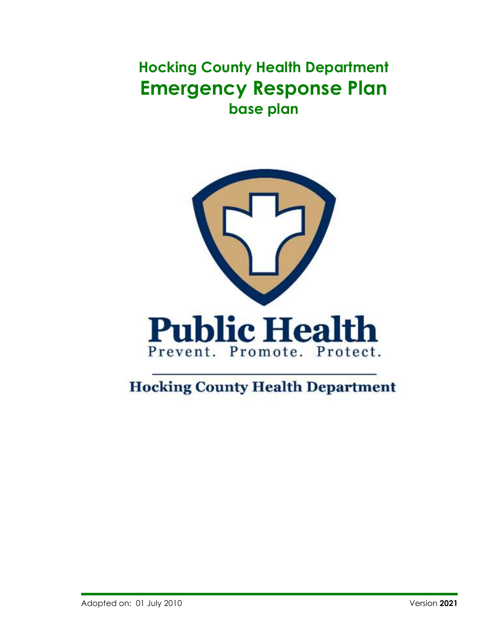**Hocking County Health Department Emergency Response Plan base plan**



# **Hocking County Health Department**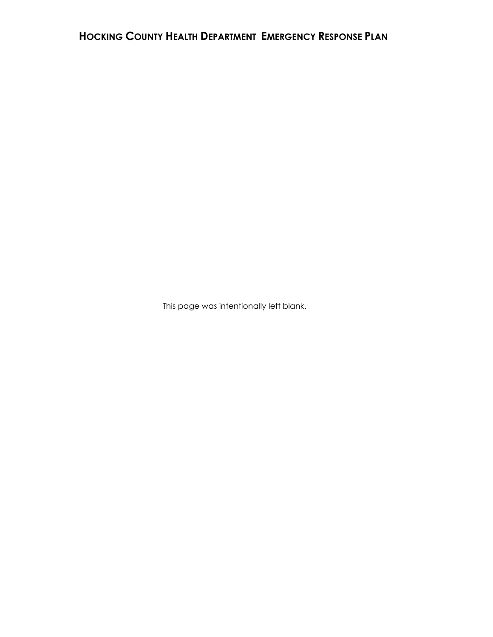This page was intentionally left blank.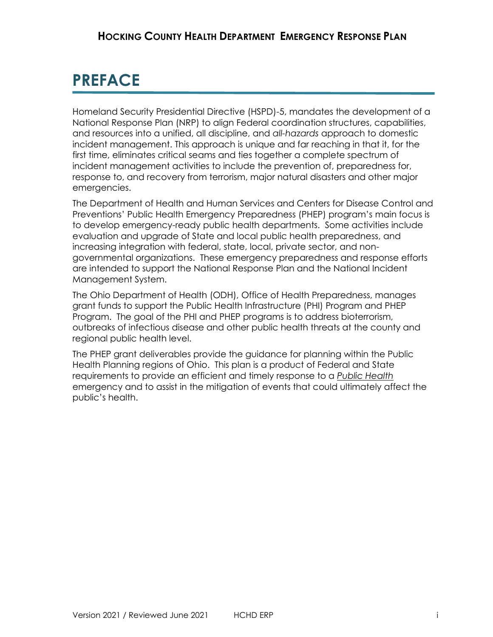# <span id="page-2-0"></span>**PREFACE**

Homeland Security Presidential Directive (HSPD)-5, mandates the development of a National Response Plan (NRP) to align Federal coordination structures, capabilities, and resources into a unified, all discipline, and *all-hazards* approach to domestic incident management. This approach is unique and far reaching in that it, for the first time, eliminates critical seams and ties together a complete spectrum of incident management activities to include the prevention of, preparedness for, response to, and recovery from terrorism, major natural disasters and other major emergencies.

The Department of Health and Human Services and Centers for Disease Control and Preventions' Public Health Emergency Preparedness (PHEP) program's main focus is to develop emergency-ready public health departments. Some activities include evaluation and upgrade of State and local public health preparedness, and increasing integration with federal, state, local, private sector, and nongovernmental organizations. These emergency preparedness and response efforts are intended to support the National Response Plan and the National Incident Management System.

The Ohio Department of Health (ODH), Office of Health Preparedness, manages grant funds to support the Public Health Infrastructure (PHI) Program and PHEP Program. The goal of the PHI and PHEP programs is to address bioterrorism, outbreaks of infectious disease and other public health threats at the county and regional public health level.

The PHEP grant deliverables provide the guidance for planning within the Public Health Planning regions of Ohio. This plan is a product of Federal and State requirements to provide an efficient and timely response to a *Public Health* emergency and to assist in the mitigation of events that could ultimately affect the public's health.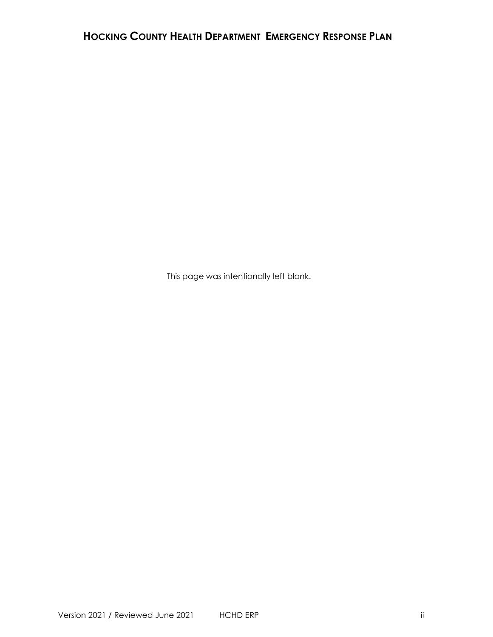This page was intentionally left blank.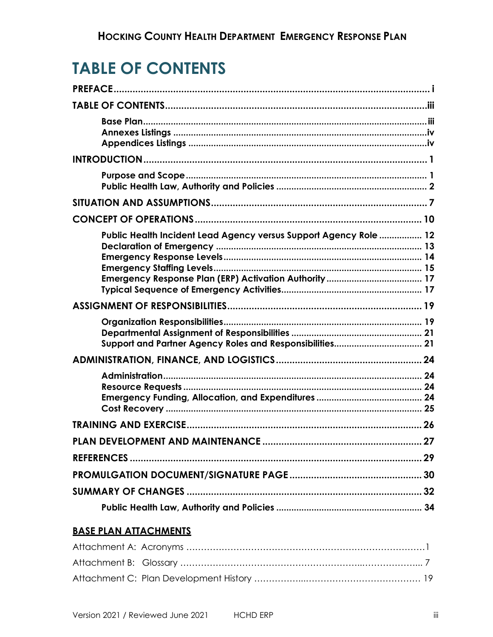# <span id="page-4-1"></span><span id="page-4-0"></span>**TABLE OF CONTENTS**

| Public Health Incident Lead Agency versus Support Agency Role  12 |    |
|-------------------------------------------------------------------|----|
|                                                                   |    |
|                                                                   |    |
|                                                                   |    |
|                                                                   |    |
|                                                                   |    |
|                                                                   | 27 |
|                                                                   |    |
|                                                                   |    |
|                                                                   |    |
|                                                                   |    |

### **BASE PLAN ATTACHMENTS**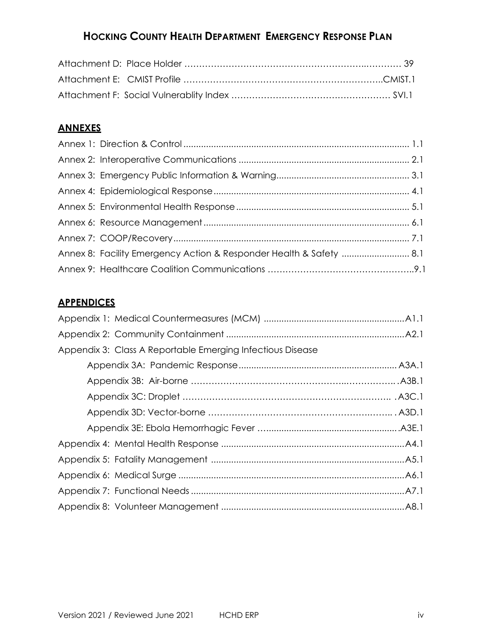### <span id="page-5-0"></span>**ANNEXES**

| Annex 8: Facility Emergency Action & Responder Health & Safety  8.1 |  |
|---------------------------------------------------------------------|--|
|                                                                     |  |

### <span id="page-5-1"></span>**APPENDICES**

| Appendix 3: Class A Reportable Emerging Infectious Disease |  |
|------------------------------------------------------------|--|
|                                                            |  |
|                                                            |  |
|                                                            |  |
|                                                            |  |
|                                                            |  |
|                                                            |  |
|                                                            |  |
|                                                            |  |
|                                                            |  |
|                                                            |  |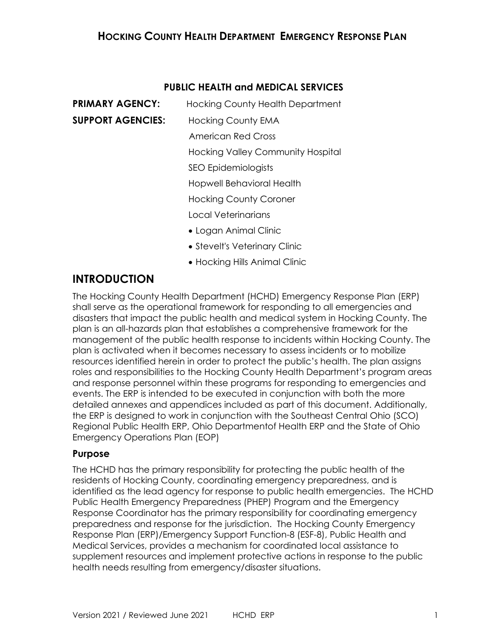| <b>PRIMARY AGENCY:</b>   | <b>Hocking County Health Department</b>  |
|--------------------------|------------------------------------------|
| <b>SUPPORT AGENCIES:</b> | <b>Hocking County EMA</b>                |
|                          | American Red Cross                       |
|                          | <b>Hocking Valley Community Hospital</b> |
|                          | SEO Epidemiologists                      |
|                          | Hopwell Behavioral Health                |
|                          | <b>Hocking County Coroner</b>            |
|                          | Local Veterinarians                      |
|                          | • Logan Animal Clinic                    |
|                          | • Stevelt's Veterinary Clinic            |
|                          | • Hocking Hills Animal Clinic            |

### **PUBLIC HEALTH and MEDICAL SERVICES**

# <span id="page-6-0"></span>**INTRODUCTION**

The Hocking County Health Department (HCHD) Emergency Response Plan (ERP) shall serve as the operational framework for responding to all emergencies and disasters that impact the public health and medical system in Hocking County. The plan is an all-hazards plan that establishes a comprehensive framework for the management of the public health response to incidents within Hocking County. The plan is activated when it becomes necessary to assess incidents or to mobilize resources identified herein in order to protect the public's health. The plan assigns roles and responsibilities to the Hocking County Health Department's program areas and response personnel within these programs for responding to emergencies and events. The ERP is intended to be executed in conjunction with both the more detailed annexes and appendices included as part of this document. Additionally, the ERP is designed to work in conjunction with the Southeast Central Ohio (SCO) Regional Public Health ERP, Ohio Departmentof Health ERP and the State of Ohio Emergency Operations Plan (EOP)

### <span id="page-6-1"></span>**Purpose**

The HCHD has the primary responsibility for protecting the public health of the residents of Hocking County, coordinating emergency preparedness, and is identified as the lead agency for response to public health emergencies. The HCHD Public Health Emergency Preparedness (PHEP) Program and the Emergency Response Coordinator has the primary responsibility for coordinating emergency preparedness and response for the jurisdiction. The Hocking County Emergency Response Plan (ERP)/Emergency Support Function-8 (ESF-8), Public Health and Medical Services, provides a mechanism for coordinated local assistance to supplement resources and implement protective actions in response to the public health needs resulting from emergency/disaster situations.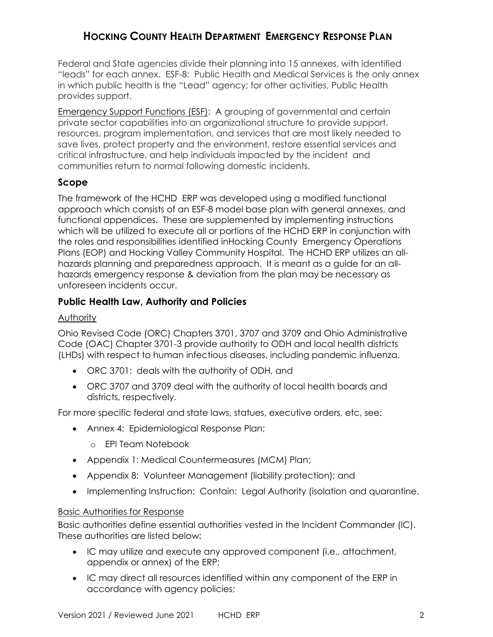Federal and State agencies divide their planning into 15 annexes, with identified "leads" for each annex. ESF-8: Public Health and Medical Services is the only annex in which public health is the "Lead" agency; for other activities, Public Health provides support.

Emergency Support Functions (ESF): A grouping of governmental and certain private sector capabilities into an organizational structure to provide support, resources, program implementation, and services that are most likely needed to save lives, protect property and the environment, restore essential services and critical infrastructure, and help individuals impacted by the incident and communities return to normal following domestic incidents.

### **Scope**

The framework of the HCHD ERP was developed using a modified functional approach which consists of an ESF-8 model base plan with general annexes, and functional appendices. These are supplemented by implementing instructions which will be utilized to execute all or portions of the HCHD ERP in conjunction with the roles and responsibilities identified inHocking County Emergency Operations Plans (EOP) and Hocking Valley Community Hospital. The HCHD ERP utilizes an allhazards planning and preparedness approach. It is meant as a guide for an allhazards emergency response & deviation from the plan may be necessary as unforeseen incidents occur.

### **Public Health Law, Authority and Policies**

#### Authority

Ohio Revised Code (ORC) Chapters 3701, 3707 and 3709 and Ohio Administrative Code (OAC) Chapter 3701-3 provide authority to ODH and local health districts (LHDs) with respect to human infectious diseases, including pandemic influenza.

- <span id="page-7-0"></span>• ORC 3701: deals with the authority of ODH, and
- ORC 3707 and 3709 deal with the authority of local health boards and districts, respectively.

For more specific federal and state laws, statues, executive orders, etc, see:

- Annex 4: Epidemiological Response Plan;
	- o EPI Team Notebook
- Appendix 1: Medical Countermeasures (MCM) Plan;
- Appendix 8: Volunteer Management (liability protection); and
- Implementing Instruction: Contain: Legal Authority (isolation and quarantine.

#### Basic Authorities for Response

Basic authorities define essential authorities vested in the Incident Commander (IC). These authorities are listed below:

- IC may utilize and execute any approved component (i.e., attachment, appendix or annex) of the ERP;
- IC may direct all resources identified within any component of the ERP in accordance with agency policies;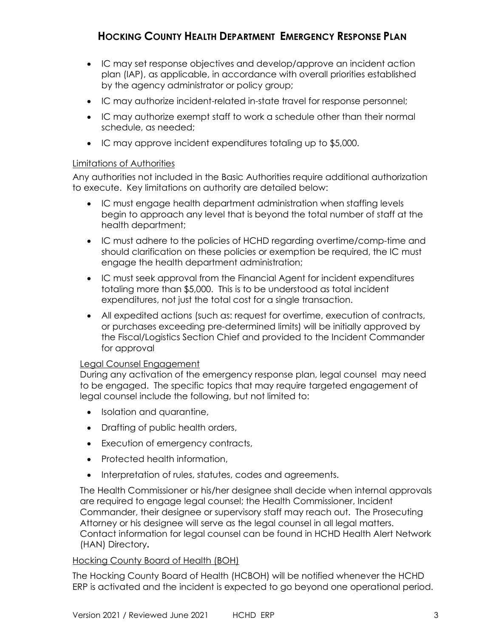- IC may set response objectives and develop/approve an incident action plan (IAP), as applicable, in accordance with overall priorities established by the agency administrator or policy group;
- IC may authorize incident-related in-state travel for response personnel;
- IC may authorize exempt staff to work a schedule other than their normal schedule, as needed;
- IC may approve incident expenditures totaling up to \$5,000.

#### Limitations of Authorities

Any authorities not included in the Basic Authorities require additional authorization to execute. Key limitations on authority are detailed below:

- IC must engage health department administration when staffing levels begin to approach any level that is beyond the total number of staff at the health department;
- IC must adhere to the policies of HCHD regarding overtime/comp-time and should clarification on these policies or exemption be required, the IC must engage the health department administration;
- IC must seek approval from the Financial Agent for incident expenditures totaling more than \$5,000. This is to be understood as total incident expenditures, not just the total cost for a single transaction.
- All expedited actions (such as: request for overtime, execution of contracts, or purchases exceeding pre-determined limits) will be initially approved by the Fiscal/Logistics Section Chief and provided to the Incident Commander for approval

#### Legal Counsel Engagement

During any activation of the emergency response plan, legal counsel may need to be engaged. The specific topics that may require targeted engagement of legal counsel include the following, but not limited to:

- Isolation and quarantine,
- Drafting of public health orders,
- Execution of emergency contracts,
- Protected health information,
- Interpretation of rules, statutes, codes and agreements.

The Health Commissioner or his/her designee shall decide when internal approvals are required to engage legal counsel; the Health Commissioner, Incident Commander, their designee or supervisory staff may reach out. The Prosecuting Attorney or his designee will serve as the legal counsel in all legal matters. Contact information for legal counsel can be found in HCHD Health Alert Network (HAN) Directory**.**

#### Hocking County Board of Health (BOH)

The Hocking County Board of Health (HCBOH) will be notified whenever the HCHD ERP is activated and the incident is expected to go beyond one operational period.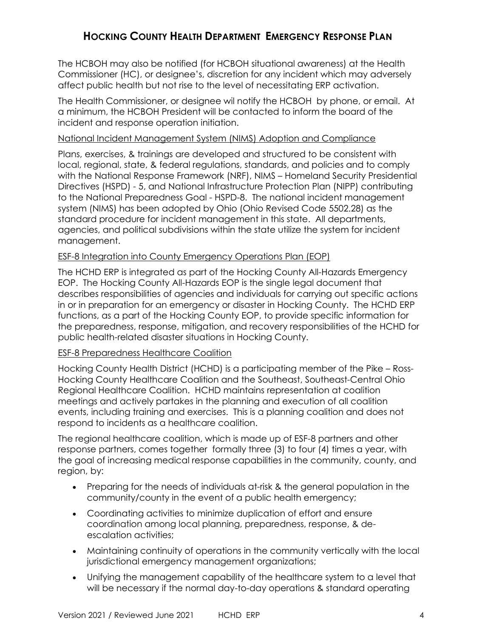The HCBOH may also be notified (for HCBOH situational awareness) at the Health Commissioner (HC), or designee's, discretion for any incident which may adversely affect public health but not rise to the level of necessitating ERP activation.

The Health Commissioner, or designee wil notify the HCBOH by phone, or email. At a minimum, the HCBOH President will be contacted to inform the board of the incident and response operation initiation.

#### National Incident Management System (NIMS) Adoption and Compliance

Plans, exercises, & trainings are developed and structured to be consistent with local, regional, state, & federal regulations, standards, and policies and to comply with the National Response Framework (NRF), NIMS – Homeland Security Presidential Directives (HSPD) - 5, and National Infrastructure Protection Plan (NIPP) contributing to the National Preparedness Goal - HSPD-8. The national incident management system (NIMS) has been adopted by Ohio (Ohio Revised Code 5502.28) as the standard procedure for incident management in this state. All departments, agencies, and political subdivisions within the state utilize the system for incident management.

#### ESF-8 Integration into County Emergency Operations Plan (EOP)

The HCHD ERP is integrated as part of the Hocking County All-Hazards Emergency EOP. The Hocking County All-Hazards EOP is the single legal document that describes responsibilities of agencies and individuals for carrying out specific actions in or in preparation for an emergency or disaster in Hocking County. The HCHD ERP functions, as a part of the Hocking County EOP, to provide specific information for the preparedness, response, mitigation, and recovery responsibilities of the HCHD for public health-related disaster situations in Hocking County.

#### ESF-8 Preparedness Healthcare Coalition

Hocking County Health District (HCHD) is a participating member of the Pike – Ross-Hocking County Healthcare Coalition and the Southeast, Southeast-Central Ohio Regional Healthcare Coalition. HCHD maintains representation at coalition meetings and actively partakes in the planning and execution of all coalition events, including training and exercises. This is a planning coalition and does not respond to incidents as a healthcare coalition.

The regional healthcare coalition, which is made up of ESF-8 partners and other response partners, comes together formally three (3) to four (4) times a year, with the goal of increasing medical response capabilities in the community, county, and region, by:

- Preparing for the needs of individuals at-risk & the general population in the community/county in the event of a public health emergency;
- Coordinating activities to minimize duplication of effort and ensure coordination among local planning, preparedness, response, & deescalation activities;
- Maintaining continuity of operations in the community vertically with the local jurisdictional emergency management organizations;
- Unifying the management capability of the healthcare system to a level that will be necessary if the normal day-to-day operations & standard operating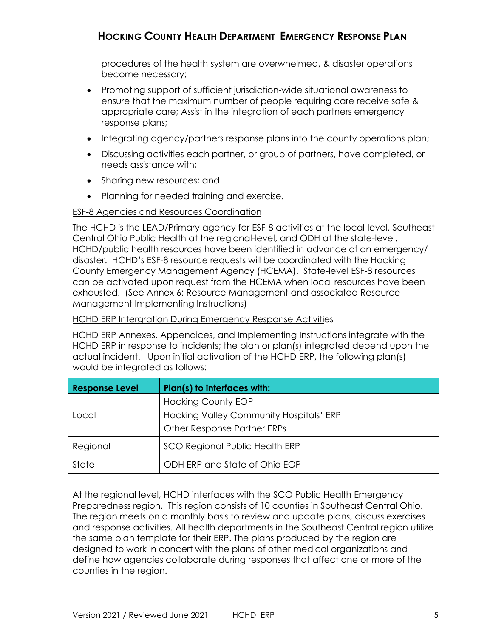procedures of the health system are overwhelmed, & disaster operations become necessary;

- Promoting support of sufficient jurisdiction-wide situational awareness to ensure that the maximum number of people requiring care receive safe & appropriate care; Assist in the integration of each partners emergency response plans;
- Integrating agency/partners response plans into the county operations plan;
- Discussing activities each partner, or group of partners, have completed, or needs assistance with;
- Sharing new resources; and
- Planning for needed training and exercise.

#### ESF-8 Agencies and Resources Coordination

The HCHD is the LEAD/Primary agency for ESF-8 activities at the local-level, Southeast Central Ohio Public Health at the regional-level, and ODH at the state-level. HCHD/public health resources have been identified in advance of an emergency/ disaster. HCHD's ESF-8 resource requests will be coordinated with the Hocking County Emergency Management Agency (HCEMA). State-level ESF-8 resources can be activated upon request from the HCEMA when local resources have been exhausted. (See Annex 6: Resource Management and associated Resource Management Implementing Instructions)

#### HCHD ERP Intergration During Emergency Response Activities

HCHD ERP Annexes, Appendices, and Implementing Instructions integrate with the HCHD ERP in response to incidents; the plan or plan(s) integrated depend upon the actual incident. Upon initial activation of the HCHD ERP, the following plan(s) would be integrated as follows:

| <b>Response Level</b> | Plan(s) to interfaces with:             |
|-----------------------|-----------------------------------------|
|                       | <b>Hocking County EOP</b>               |
| Local                 | Hocking Valley Community Hospitals' ERP |
|                       | Other Response Partner ERPs             |
| Regional              | <b>SCO Regional Public Health ERP</b>   |
| State                 | ODH ERP and State of Ohio EOP           |

At the regional level, HCHD interfaces with the SCO Public Health Emergency Preparedness region. This region consists of 10 counties in Southeast Central Ohio. The region meets on a monthly basis to review and update plans, discuss exercises and response activities. All health departments in the Southeast Central region utilize the same plan template for their ERP. The plans produced by the region are designed to work in concert with the plans of other medical organizations and define how agencies collaborate during responses that affect one or more of the counties in the region.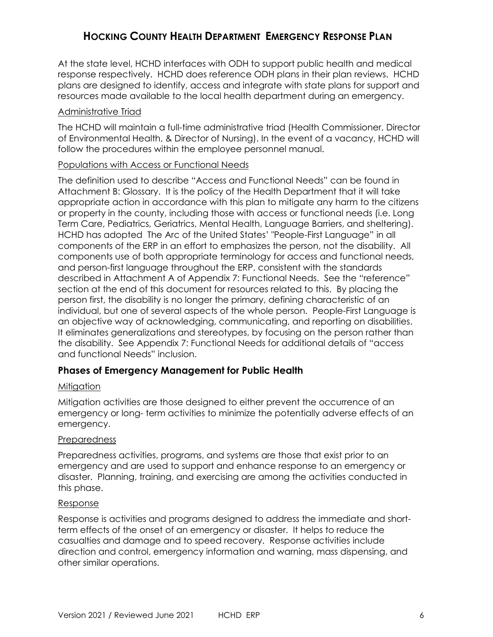At the state level, HCHD interfaces with ODH to support public health and medical response respectively. HCHD does reference ODH plans in their plan reviews. HCHD plans are designed to identify, access and integrate with state plans for support and resources made available to the local health department during an emergency.

#### Administrative Triad

The HCHD will maintain a full-time administrative triad (Health Commissioner, Director of Environmental Health, & Director of Nursing). In the event of a vacancy, HCHD will follow the procedures within the employee personnel manual.

#### Populations with Access or Functional Needs

The definition used to describe "Access and Functional Needs" can be found in Attachment B: Glossary. It is the policy of the Health Department that it will take appropriate action in accordance with this plan to mitigate any harm to the citizens or property in the county, including those with access or functional needs (i.e. Long Term Care, Pediatrics, Geriatrics, Mental Health, Language Barriers, and sheltering). HCHD has adopted The Arc of the United States' "People-First Language" in all components of the ERP in an effort to emphasizes the person, not the disability. All components use of both appropriate terminology for access and functional needs, and person-first language throughout the ERP, consistent with the standards described in Attachment A of Appendix 7: Functional Needs. See the "reference" section at the end of this document for resources related to this. By placing the person first, the disability is no longer the primary, defining characteristic of an individual, but one of several aspects of the whole person. People-First Language is an objective way of acknowledging, communicating, and reporting on disabilities. It eliminates generalizations and stereotypes, by focusing on the person rather than the disability. See Appendix 7: Functional Needs for additional details of "access and functional Needs" inclusion.

### **Phases of Emergency Management for Public Health**

#### **Mitigation**

Mitigation activities are those designed to either prevent the occurrence of an emergency or long- term activities to minimize the potentially adverse effects of an emergency.

#### **Preparedness**

Preparedness activities, programs, and systems are those that exist prior to an emergency and are used to support and enhance response to an emergency or disaster. Planning, training, and exercising are among the activities conducted in this phase.

#### **Response**

Response is activities and programs designed to address the immediate and shortterm effects of the onset of an emergency or disaster. It helps to reduce the casualties and damage and to speed recovery. Response activities include direction and control, emergency information and warning, mass dispensing, and other similar operations.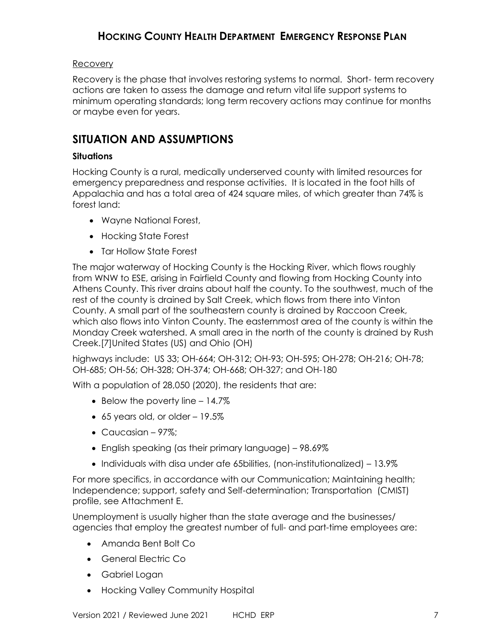#### Recovery

Recovery is the phase that involves restoring systems to normal. Short- term recovery actions are taken to assess the damage and return vital life support systems to minimum operating standards; long term recovery actions may continue for months or maybe even for years.

### <span id="page-12-0"></span>**SITUATION AND ASSUMPTIONS**

#### **Situations**

Hocking County is a rural, medically underserved county with limited resources for emergency preparedness and response activities. It is located in the foot hills of Appalachia and has a total area of 424 square miles, of which greater than 74% is forest land:

- Wayne National Forest,
- Hocking State Forest
- Tar Hollow State Forest

The major waterway of Hocking County is the Hocking River, which flows roughly from WNW to ESE, arising in Fairfield County and flowing from Hocking County into Athens County. This river drains about half the county. To the southwest, much of the rest of the county is drained by Salt Creek, which flows from there into Vinton County. A small part of the southeastern county is drained by Raccoon Creek, which also flows into Vinton County. The easternmost area of the county is within the Monday Creek watershed. A small area in the north of the county is drained by Rush Creek.[7]United States (US) and Ohio (OH)

highways include: US 33; OH-664; OH-312; OH-93; OH-595; OH-278; OH-216; OH-78; OH-685; OH-56; OH-328; OH-374; OH-668; OH-327; and OH-180

With a population of 28,050 (2020), the residents that are:

- Below the poverty line 14.7%
- $\bullet$  65 years old, or older 19.5%
- Caucasian 97%;
- English speaking (as their primary language) 98.69%
- Individuals with disa under afe 65bilities, (non-institutionalized) 13.9%

For more specifics, in accordance with our Communication; Maintaining health; Independence; support, safety and Self-determination; Transportation (CMIST) profile, see Attachment E.

Unemployment is usually higher than the state average and the businesses/ agencies that employ the greatest number of full- and part-time employees are:

- Amanda Bent Bolt Co
- General Electric Co
- Gabriel Logan
- Hocking Valley Community Hospital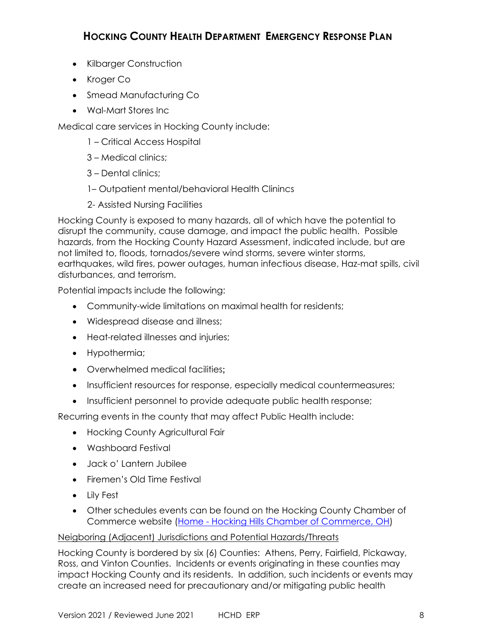- Kilbarger Construction
- Kroger Co
- Smead Manufacturing Co
- Wal-Mart Stores Inc

Medical care services in Hocking County include:

- 1 Critical Access Hospital
- 3 Medical clinics;
- 3 Dental clinics;
- 1– Outpatient mental/behavioral Health Clinincs
- 2- Assisted Nursing Facilities

Hocking County is exposed to many hazards, all of which have the potential to disrupt the community, cause damage, and impact the public health. Possible hazards, from the Hocking County Hazard Assessment, indicated include, but are not limited to, floods, tornados/severe wind storms, severe winter storms, earthquakes, wild fires, power outages, human infectious disease, Haz-mat spills, civil disturbances, and terrorism.

Potential impacts include the following:

- Community-wide limitations on maximal health for residents;
- Widespread disease and illness;
- Heat-related illnesses and injuries;
- Hypothermia;
- Overwhelmed medical facilities;
- Insufficient resources for response, especially medical countermeasures;
- Insufficient personnel to provide adequate public health response;

Recurring events in the county that may affect Public Health include:

- Hocking County Agricultural Fair
- Washboard Festival
- Jack o' Lantern Jubilee
- Firemen's Old Time Festival
- Lily Fest
- Other schedules events can be found on the Hocking County Chamber of Commerce website (Home - [Hocking Hills Chamber of Commerce, OH\)](http://hockinghillschamber.com/)

#### Neigboring (Adjacent) Jurisdictions and Potential Hazards/Threats

Hocking County is bordered by six (6) Counties: Athens, Perry, Fairfield, Pickaway, Ross, and Vinton Counties. Incidents or events originating in these counties may impact Hocking County and its residents. In addition, such incidents or events may create an increased need for precautionary and/or mitigating public health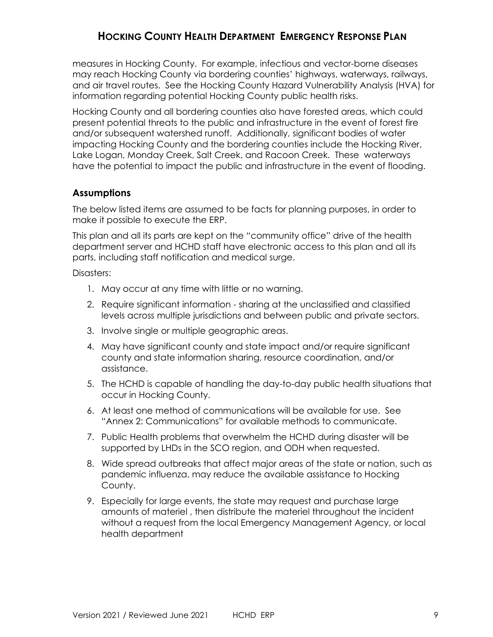measures in Hocking County. For example, infectious and vector-borne diseases may reach Hocking County via bordering counties' highways, waterways, railways, and air travel routes. See the Hocking County Hazard Vulnerability Analysis (HVA) for information regarding potential Hocking County public health risks.

Hocking County and all bordering counties also have forested areas, which could present potential threats to the public and infrastructure in the event of forest fire and/or subsequent watershed runoff. Additionally, significant bodies of water impacting Hocking County and the bordering counties include the Hocking River, Lake Logan, Monday Creek, Salt Creek, and Racoon Creek. These waterways have the potential to impact the public and infrastructure in the event of flooding.

#### **Assumptions**

The below listed items are assumed to be facts for planning purposes, in order to make it possible to execute the ERP.

This plan and all its parts are kept on the "community office" drive of the health department server and HCHD staff have electronic access to this plan and all its parts, including staff notification and medical surge.

Disasters:

- 1. May occur at any time with little or no warning.
- 2. Require significant information sharing at the unclassified and classified levels across multiple jurisdictions and between public and private sectors.
- 3. Involve single or multiple geographic areas.
- 4. May have significant county and state impact and/or require significant county and state information sharing, resource coordination, and/or assistance.
- 5. The HCHD is capable of handling the day-to-day public health situations that occur in Hocking County.
- 6. At least one method of communications will be available for use. See "Annex 2: Communications" for available methods to communicate.
- 7. Public Health problems that overwhelm the HCHD during disaster will be supported by LHDs in the SCO region, and ODH when requested.
- 8. Wide spread outbreaks that affect major areas of the state or nation, such as pandemic influenza, may reduce the available assistance to Hocking County.
- 9. Especially for large events, the state may request and purchase large amounts of materiel , then distribute the materiel throughout the incident without a request from the local Emergency Management Agency, or local health department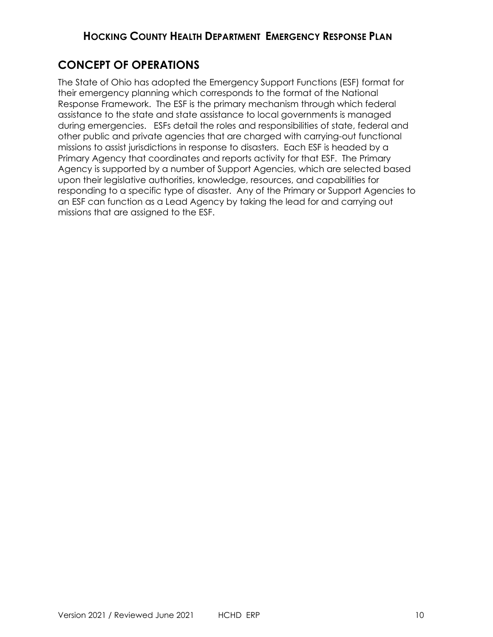# <span id="page-15-0"></span>**CONCEPT OF OPERATIONS**

The State of Ohio has adopted the Emergency Support Functions (ESF) format for their emergency planning which corresponds to the format of the National Response Framework. The ESF is the primary mechanism through which federal assistance to the state and state assistance to local governments is managed during emergencies. ESFs detail the roles and responsibilities of state, federal and other public and private agencies that are charged with carrying-out functional missions to assist jurisdictions in response to disasters. Each ESF is headed by a Primary Agency that coordinates and reports activity for that ESF. The Primary Agency is supported by a number of Support Agencies, which are selected based upon their legislative authorities, knowledge, resources, and capabilities for responding to a specific type of disaster. Any of the Primary or Support Agencies to an ESF can function as a Lead Agency by taking the lead for and carrying out missions that are assigned to the ESF.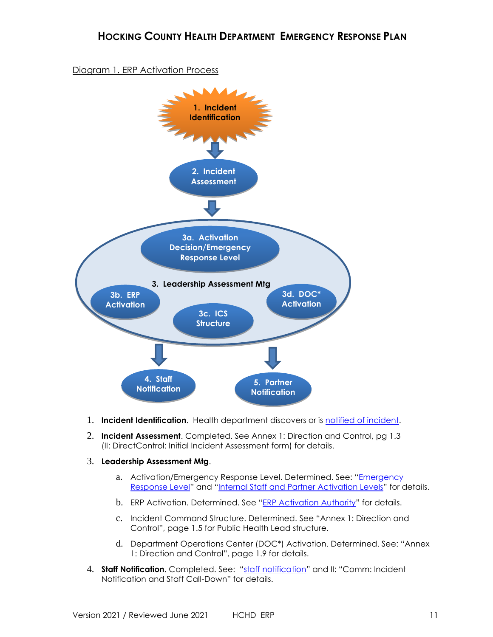Diagram 1. ERP Activation Process



- 1. **Incident Identification**. Health department discovers or is notified of incident.
- 2. **Incident Assessment**. Completed. See Annex 1: Direction and Control, pg 1.3 (II: DirectControl: Initial Incident Assessment form) for details.
- 3. **Leadership Assessment Mtg**.
	- a. Activation/Emergency Response Level. Determined. See: "Emergency Response Level" and "Internal Staff and Partner Activation Levels" for details.
	- b. ERP Activation. Determined. See "ERP Activation Authority" for details.
	- c. Incident Command Structure. Determined. See "Annex 1: Direction and Control", page 1.5 for Public Health Lead structure.
	- d. Department Operations Center (DOC\*) Activation. Determined. See: "Annex 1: Direction and Control", page 1.9 for details.
- 4. **Staff Notification**. Completed. See: "staff notification" and II: "Comm: Incident Notification and Staff Call-Down" for details.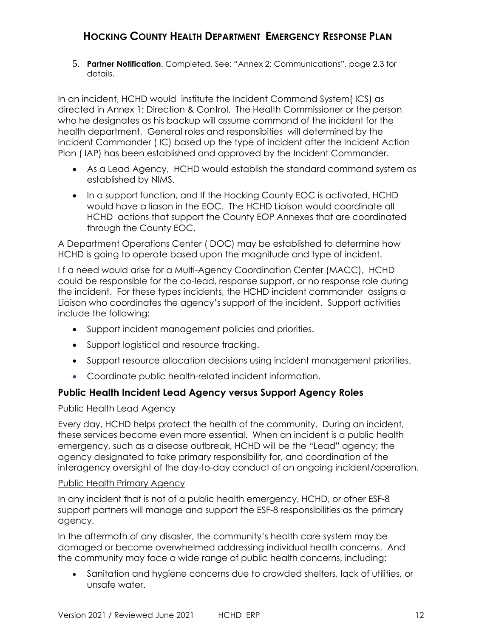5. **Partner Notification**. Completed. See: "Annex 2: Communications", page 2.3 for details.

In an incident, HCHD would institute the Incident Command System( ICS) as directed in Annex 1: Direction & Control. The Health Commissioner or the person who he designates as his backup will assume command of the incident for the health department. General roles and responsibities will determined by the Incident Commander ( IC) based up the type of incident after the Incident Action Plan ( IAP) has been established and approved by the Incident Commander.

- As a Lead Agency, HCHD would establish the standard command system as established by NIMS.
- In a support function, and If the Hocking County EOC is activated, HCHD would have a liason in the EOC. The HCHD Liaison would coordinate all HCHD actions that support the County EOP Annexes that are coordinated through the County EOC.

A Department Operations Center ( DOC) may be established to determine how HCHD is going to operate based upon the magnitude and type of incident.

I f a need would arise for a Multi-Agency Coordination Center (MACC), HCHD could be responsible for the co-lead, response support, or no response role during the incident. For these types incidents, the HCHD incident commander assigns a Liaison who coordinates the agency's support of the incident. Support activities include the following:

- Support incident management policies and priorities.
- Support logistical and resource tracking.
- Support resource allocation decisions using incident management priorities.
- <span id="page-17-0"></span>• Coordinate public health-related incident information.

### **Public Health Incident Lead Agency versus Support Agency Roles**

#### Public Health Lead Agency

Every day, HCHD helps protect the health of the community. During an incident, these services become even more essential. When an incident is a public health emergency, such as a disease outbreak, HCHD will be the "Lead" agency; the agency designated to take primary responsibility for, and coordination of the interagency oversight of the day-to-day conduct of an ongoing incident/operation.

#### Public Health Primary Agency

In any incident that is not of a public health emergency, HCHD, or other ESF-8 support partners will manage and support the ESF-8 responsibilities as the primary agency.

In the aftermath of any disaster, the community's health care system may be damaged or become overwhelmed addressing individual health concerns. And the community may face a wide range of public health concerns, including:

• Sanitation and hygiene concerns due to crowded shelters, lack of utilities, or unsafe water.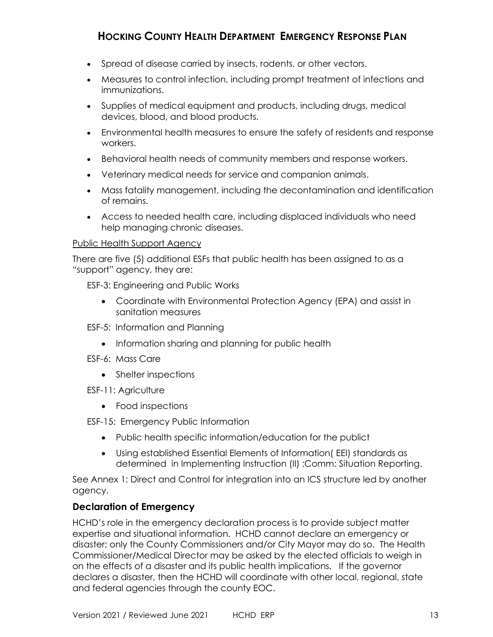- Spread of disease carried by insects, rodents, or other vectors.
- Measures to control infection, including prompt treatment of infections and immunizations.
- Supplies of medical equipment and products, including drugs, medical devices, blood, and blood products.
- Environmental health measures to ensure the safety of residents and response workers.
- Behavioral health needs of community members and response workers.
- Veterinary medical needs for service and companion animals.
- Mass fatality management, including the decontamination and identification of remains.
- Access to needed health care, including displaced individuals who need help managing chronic diseases.

#### Public Health Support Agency

There are five (5) additional ESFs that public health has been assigned to as a "support" agency, they are:

ESF-3: Engineering and Public Works

• Coordinate with Environmental Protection Agency (EPA) and assist in sanitation measures

#### ESF-5: Information and Planning

- Information sharing and planning for public health
- ESF-6: Mass Care
	- Shelter inspections

ESF-11: Agriculture

• Food inspections

ESF-15: Emergency Public Information

- Public health specific information/education for the publict
- <span id="page-18-0"></span>• Using established Essential Elements of Information( EEI) standards as determined in Implementing Instruction (II) :Comm: Situation Reporting.

See Annex 1: Direct and Control for integration into an ICS structure led by another agency.

#### **Declaration of Emergency**

<span id="page-18-1"></span>HCHD's role in the emergency declaration process is to provide subject matter expertise and situational information. HCHD cannot declare an emergency or disaster; only the County Commissioners and/or City Mayor may do so. The Health Commissioner/Medical Director may be asked by the elected officials to weigh in on the effects of a disaster and its public health implications. If the governor declares a disaster, then the HCHD will coordinate with other local, regional, state and federal agencies through the county EOC.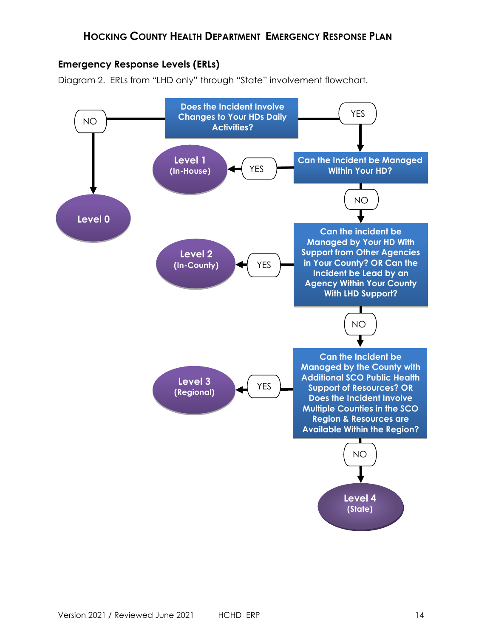### <span id="page-19-0"></span>**Emergency Response Levels (ERLs)**

Diagram 2. ERLs from "LHD only" through "State" involvement flowchart.

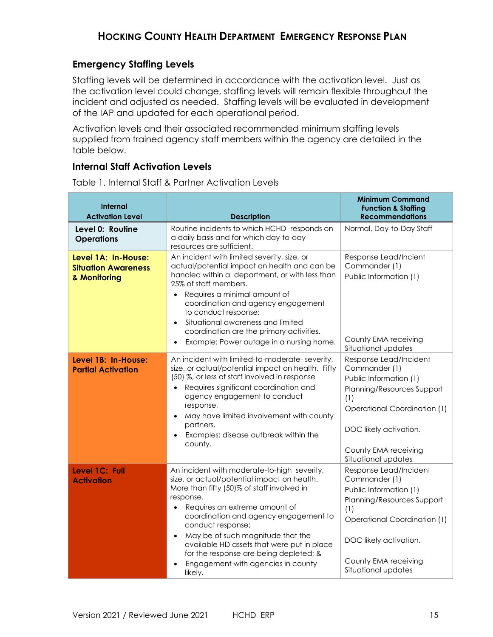### <span id="page-20-0"></span>**Emergency Staffing Levels**

Staffing levels will be determined in accordance with the activation level. Just as the activation level could change, staffing levels will remain flexible throughout the incident and adjusted as needed. Staffing levels will be evaluated in development of the IAP and updated for each operational period.

Activation levels and their associated recommended minimum staffing levels supplied from trained agency staff members within the agency are detailed in the table below.

### **Internal Staff Activation Levels**

| Internal<br><b>Activation Level</b>                               | <b>Description</b>                                                                                                                                                                                                                                                                                                                                                                                                                              | <b>Minimum Command</b><br><b>Function &amp; Staffing</b><br><b>Recommendations</b>                                                                                                                                     |
|-------------------------------------------------------------------|-------------------------------------------------------------------------------------------------------------------------------------------------------------------------------------------------------------------------------------------------------------------------------------------------------------------------------------------------------------------------------------------------------------------------------------------------|------------------------------------------------------------------------------------------------------------------------------------------------------------------------------------------------------------------------|
| Level 0: Routine<br><b>Operations</b>                             | Routine incidents to which HCHD responds on<br>a daily basis and for which day-to-day<br>resources are sufficient.                                                                                                                                                                                                                                                                                                                              | Normal, Day-to-Day Staff                                                                                                                                                                                               |
| Level 1A: In-House:<br><b>Situation Awareness</b><br>& Monitoring | An incident with limited severity, size, or<br>actual/potential impact on health and can be<br>handled within a department, or with less than<br>25% of staff members.<br>Requires a minimal amount of<br>$\bullet$<br>coordination and agency engagement<br>to conduct response;<br>Situational awareness and limited<br>coordination are the primary activities.<br>Example: Power outage in a nursing home.                                  | Response Lead/Incient<br>Commander (1)<br>Public Information (1)<br>County EMA receiving<br>Situational updates                                                                                                        |
| Level 1B: In-House:<br><b>Partial Activation</b>                  | An incident with limited-to-moderate- severity,<br>size, or actual/potential impact on health. Fifty<br>(50) %, or less of staff involved in response<br>Requires significant coordination and<br>$\bullet$<br>agency engagement to conduct<br>response,<br>May have limited involvement with county<br>partners.<br>Examples: disease outbreak within the<br>county.                                                                           | Response Lead/Incident<br>Commander (1)<br>Public Information (1)<br>Planning/Resources Support<br>(1)<br><b>Operational Coordination (1)</b><br>DOC likely activation.<br>County EMA receiving<br>Situational updates |
| Level 1C: Full<br><b>Activation</b>                               | An incident with moderate-to-high severity,<br>size, or actual/potential impact on health.<br>More than fifty (50)% of staff involved in<br>response.<br>Requires an extreme amount of<br>coordination and agency engagement to<br>conduct response;<br>May be of such magnitude that the<br>$\bullet$<br>available HD assets that were put in place<br>for the response are being depleted; &<br>Engagement with agencies in county<br>likely. | Response Lead/Incident<br>Commander (1)<br>Public Information (1)<br>Planning/Resources Support<br>(1)<br><b>Operational Coordination (1)</b><br>DOC likely activation.<br>County EMA receiving<br>Situational updates |

Table 1. Internal Staff & Partner Activation Levels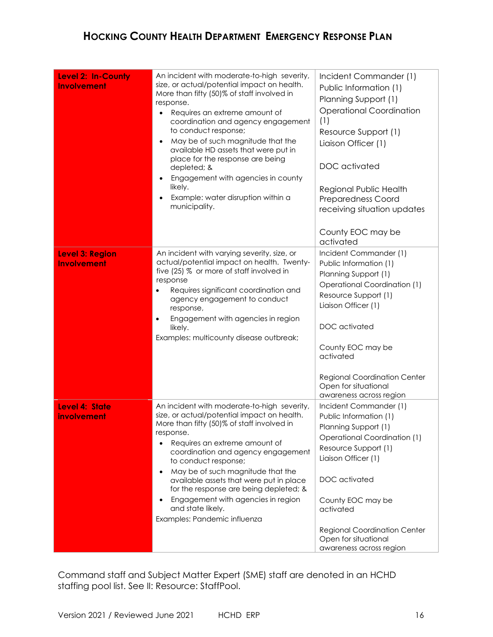| Level 2: In-County<br><b>Involvement</b>     | An incident with moderate-to-high severity,<br>size, or actual/potential impact on health.<br>More than fifty (50)% of staff involved in<br>response.<br>Requires an extreme amount of<br>coordination and agency engagement<br>to conduct response;<br>May be of such magnitude that the<br>available HD assets that were put in<br>place for the response are being<br>depleted; &<br>Engagement with agencies in county<br>likely.<br>Example: water disruption within a<br>municipality. | Incident Commander (1)<br>Public Information (1)<br>Planning Support (1)<br><b>Operational Coordination</b><br>(1)<br>Resource Support (1)<br>Liaison Officer (1)<br>DOC activated<br>Regional Public Health<br><b>Preparedness Coord</b><br>receiving situation updates<br>County EOC may be<br>activated  |
|----------------------------------------------|----------------------------------------------------------------------------------------------------------------------------------------------------------------------------------------------------------------------------------------------------------------------------------------------------------------------------------------------------------------------------------------------------------------------------------------------------------------------------------------------|-------------------------------------------------------------------------------------------------------------------------------------------------------------------------------------------------------------------------------------------------------------------------------------------------------------|
| <b>Level 3: Region</b><br><b>Involvement</b> | An incident with varying severity, size, or<br>actual/potential impact on health. Twenty-<br>five (25) % or more of staff involved in<br>response<br>Requires significant coordination and<br>agency engagement to conduct<br>response,<br>Engagement with agencies in region<br>likely.<br>Examples: multicounty disease outbreak;                                                                                                                                                          | Incident Commander (1)<br>Public Information (1)<br>Planning Support (1)<br><b>Operational Coordination (1)</b><br>Resource Support (1)<br>Liaison Officer (1)<br>DOC activated<br>County EOC may be<br>activated<br><b>Regional Coordination Center</b><br>Open for situational<br>awareness across region |
| Level 4: State<br>involvement                | An incident with moderate-to-high severity,<br>size, or actual/potential impact on health.<br>More than fifty (50)% of staff involved in<br>response.<br>Requires an extreme amount of<br>coordination and agency engagement<br>to conduct response;<br>May be of such magnitude that the<br>available assets that were put in place<br>for the response are being depleted; &<br>Engagement with agencies in region<br>$\bullet$<br>and state likely.<br>Examples: Pandemic influenza       | Incident Commander (1)<br>Public Information (1)<br>Planning Support (1)<br><b>Operational Coordination (1)</b><br>Resource Support (1)<br>Liaison Officer (1)<br>DOC activated<br>County EOC may be<br>activated<br><b>Regional Coordination Center</b><br>Open for situational<br>awareness across region |

Command staff and Subject Matter Expert (SME) staff are denoted in an HCHD staffing pool list. See II: Resource: StaffPool.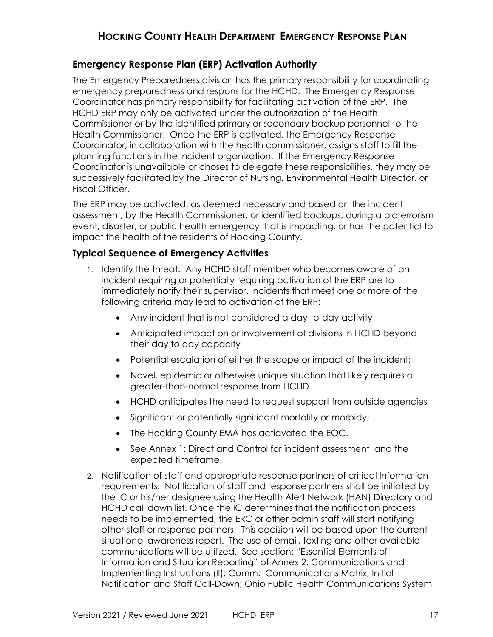### <span id="page-22-0"></span>**Emergency Response Plan (ERP) Activation Authority**

The Emergency Preparedness division has the primary responsibility for coordinating emergency preparedness and respons for the HCHD. The Emergency Response Coordinator has primary responsibility for facilitating activation of the ERP. The HCHD ERP may only be activated under the authorization of the Health Commissioner or by the identified primary or secondary backup personnel to the Health Commissioner. Once the ERP is activated, the Emergency Response Coordinator, in collaboration with the health commissioner, assigns staff to fill the planning functions in the incident organization. If the Emergency Response Coordinator is unavailable or choses to delegate these responsibilities, they may be successively facilitated by the Director of Nursing, Environmental Health Director, or Fiscal Officer.

The ERP may be activated, as deemed necessary and based on the incident assessment, by the Health Commissioner, or identified backups, during a bioterrorism event, disaster, or public health emergency that is impacting, or has the potential to impact the health of the residents of Hocking County.

#### **Typical Sequence of Emergency Activities**

- <span id="page-22-1"></span>1. Identify the threat. Any HCHD staff member who becomes aware of an incident requiring or potentially requiring activation of the ERP are to immediately notify their supervisor. Incidents that meet one or more of the following criteria may lead to activation of the ERP:
	- Any incident that is not considered a day-to-day activity
	- Anticipated impact on or involvement of divisions in HCHD beyond their day to day capacity
	- Potential escalation of either the scope or impact of the incident;
	- Novel, epidemic or otherwise unique situation that likely requires a greater-than-normal response from HCHD
	- HCHD anticipates the need to request support from outside agencies
	- Significant or potentially significant mortality or morbidy;
	- The Hocking County EMA has actiavated the EOC.
	- See Annex 1: Direct and Control for incident assessment and the expected timeframe.
- 2. Notification of staff and appropriate response partners of critical Information requirements. Notification of staff and response partners shall be initiated by the IC or his/her designee using the Health Alert Network (HAN) Directory and HCHD call down list. Once the IC determines that the notification process needs to be implemented, the ERC or other admin staff will start notifying other staff or response partners. This decision will be based upon the current situational awareness report. The use of email, texting and other available communications will be utilized. See section: "Essential Elements of Information and Situation Reporting" of Annex 2: Communications and Implementing Instructions (II): Comm: Communications Matrix; Initial Notification and Staff Call-Down; Ohio Public Health Communications System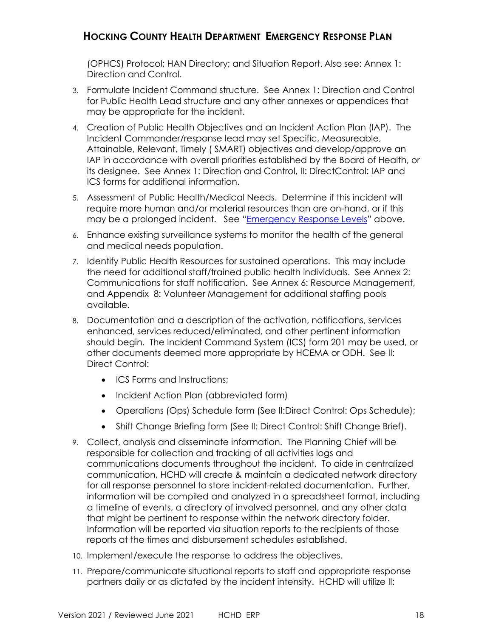(OPHCS) Protocol; HAN Directory; and Situation Report. Also see: Annex 1: Direction and Control.

- 3. Formulate Incident Command structure. See Annex 1: Direction and Control for Public Health Lead structure and any other annexes or appendices that may be appropriate for the incident.
- 4. Creation of Public Health Objectives and an Incident Action Plan (IAP). The Incident Commander/response lead may set Specific, Measureable, Attainable, Relevant, Timely ( SMART) objectives and develop/approve an IAP in accordance with overall priorities established by the Board of Health, or its designee. See Annex 1: Direction and Control, II: DirectControl: IAP and ICS forms for additional information.
- 5. Assessment of Public Health/Medical Needs. Determine if this incident will require more human and/or material resources than are on-hand, or if this may be a prolonged incident. See "*[Emergency Response Levels](#page-18-1)*" above.
- 6. Enhance existing surveillance systems to monitor the health of the general and medical needs population.
- 7. Identify Public Health Resources for sustained operations. This may include the need for additional staff/trained public health individuals. See Annex 2: Communications for staff notification. See Annex 6: Resource Management, and Appendix 8: Volunteer Management for additional staffing pools available.
- 8. Documentation and a description of the activation, notifications, services enhanced, services reduced/eliminated, and other pertinent information should begin. The Incident Command System (ICS) form 201 may be used, or other documents deemed more appropriate by HCEMA or ODH. See II: Direct Control:
	- ICS Forms and Instructions:
	- Incident Action Plan (abbreviated form)
	- Operations (Ops) Schedule form (See II:Direct Control: Ops Schedule);
	- Shift Change Briefing form (See II: Direct Control: Shift Change Brief).
- 9. Collect, analysis and disseminate information. The Planning Chief will be responsible for collection and tracking of all activities logs and communications documents throughout the incident. To aide in centralized communication, HCHD will create & maintain a dedicated network directory for all response personnel to store incident-related documentation. Further, information will be compiled and analyzed in a spreadsheet format, including a timeline of events, a directory of involved personnel, and any other data that might be pertinent to response within the network directory folder. Information will be reported via situation reports to the recipients of those reports at the times and disbursement schedules established.
- 10. Implement/execute the response to address the objectives.
- 11. Prepare/communicate situational reports to staff and appropriate response partners daily or as dictated by the incident intensity. HCHD will utilize II: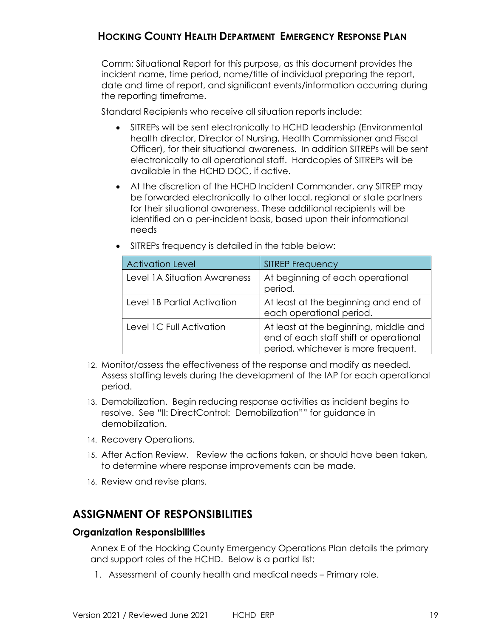Comm: Situational Report for this purpose, as this document provides the incident name, time period, name/title of individual preparing the report, date and time of report, and significant events/information occurring during the reporting timeframe.

Standard Recipients who receive all situation reports include:

- SITREPs will be sent electronically to HCHD leadership (Environmental health director, Director of Nursing, Health Commissioner and Fiscal Officer), for their situational awareness. In addition SITREPs will be sent electronically to all operational staff. Hardcopies of SITREPs will be available in the HCHD DOC, if active.
- At the discretion of the HCHD Incident Commander, any SITREP may be forwarded electronically to other local, regional or state partners for their situational awareness. These additional recipients will be identified on a per-incident basis, based upon their informational needs

| <b>Activation Level</b>      | <b>SITREP Frequency</b>                                                                                                |
|------------------------------|------------------------------------------------------------------------------------------------------------------------|
| Level 1A Situation Awareness | At beginning of each operational<br>period.                                                                            |
| Level 1B Partial Activation  | At least at the beginning and end of<br>each operational period.                                                       |
| Level 1C Full Activation     | At least at the beginning, middle and<br>end of each staff shift or operational<br>period, whichever is more frequent. |

• SITREPs frequency is detailed in the table below:

- 12. Monitor/assess the effectiveness of the response and modify as needed. Assess staffing levels during the development of the IAP for each operational period.
- 13. Demobilization. Begin reducing response activities as incident begins to resolve. See "II: DirectControl: Demobilization"" for guidance in demobilization.
- 14. Recovery Operations.
- 15. After Action Review. Review the actions taken, or should have been taken, to determine where response improvements can be made.
- 16. Review and revise plans.

### **ASSIGNMENT OF RESPONSIBILITIES**

#### **Organization Responsibilities**

<span id="page-24-1"></span><span id="page-24-0"></span>Annex E of the Hocking County Emergency Operations Plan details the primary and support roles of the HCHD. Below is a partial list:

1. Assessment of county health and medical needs – Primary role.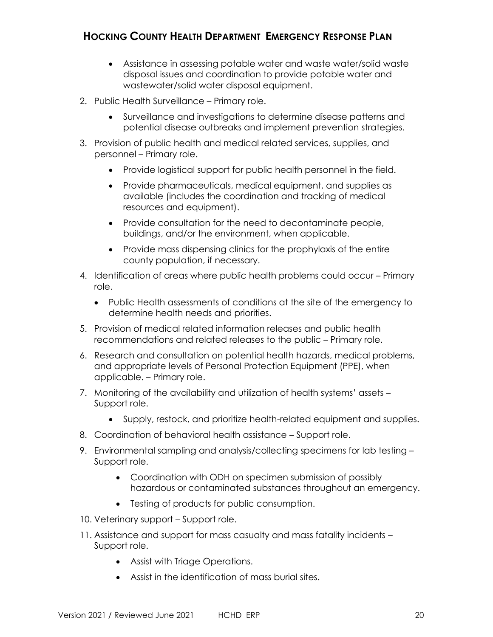- Assistance in assessing potable water and waste water/solid waste disposal issues and coordination to provide potable water and wastewater/solid water disposal equipment.
- 2. Public Health Surveillance Primary role.
	- Surveillance and investigations to determine disease patterns and potential disease outbreaks and implement prevention strategies.
- 3. Provision of public health and medical related services, supplies, and personnel – Primary role.
	- Provide logistical support for public health personnel in the field.
	- Provide pharmaceuticals, medical equipment, and supplies as available (includes the coordination and tracking of medical resources and equipment).
	- Provide consultation for the need to decontaminate people, buildings, and/or the environment, when applicable.
	- Provide mass dispensing clinics for the prophylaxis of the entire county population, if necessary.
- 4. Identification of areas where public health problems could occur Primary role.
	- Public Health assessments of conditions at the site of the emergency to determine health needs and priorities.
- 5. Provision of medical related information releases and public health recommendations and related releases to the public – Primary role.
- 6. Research and consultation on potential health hazards, medical problems, and appropriate levels of Personal Protection Equipment (PPE), when applicable. – Primary role.
- 7. Monitoring of the availability and utilization of health systems' assets Support role.
	- Supply, restock, and prioritize health-related equipment and supplies.
- 8. Coordination of behavioral health assistance Support role.
- 9. Environmental sampling and analysis/collecting specimens for lab testing Support role.
	- Coordination with ODH on specimen submission of possibly hazardous or contaminated substances throughout an emergency.
	- Testing of products for public consumption.
- 10. Veterinary support Support role.
- 11. Assistance and support for mass casualty and mass fatality incidents Support role.
	- Assist with Triage Operations.
	- Assist in the identification of mass burial sites.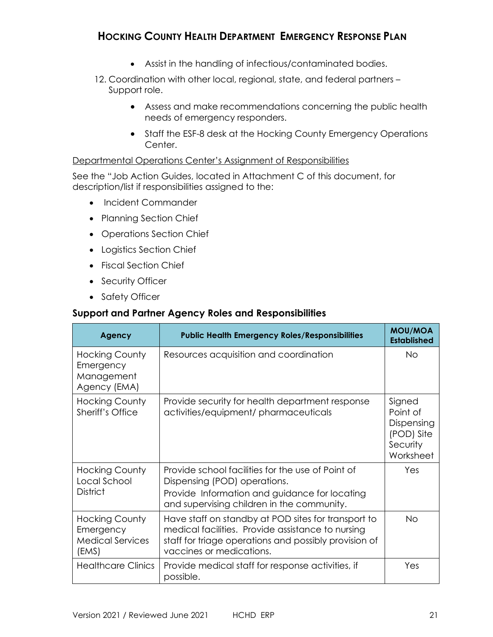- <span id="page-26-0"></span>• Assist in the handling of infectious/contaminated bodies.
- 12. Coordination with other local, regional, state, and federal partners Support role.
	- Assess and make recommendations concerning the public health needs of emergency responders.
	- Staff the ESF-8 desk at the Hocking County Emergency Operations Center.

#### Departmental Operations Center's Assignment of Responsibilities

See the "Job Action Guides, located in Attachment C of this document, for description/list if responsibilities assigned to the:

- Incident Commander
- Planning Section Chief
- Operations Section Chief
- Logistics Section Chief
- Fiscal Section Chief
- Security Officer
- <span id="page-26-1"></span>• Safety Officer

#### **Support and Partner Agency Roles and Responsibilities**

| Agency                                                                 | <b>Public Health Emergency Roles/Responsibilities</b>                                                                                                                                         | <b>MOU/MOA</b><br><b>Established</b>                                    |
|------------------------------------------------------------------------|-----------------------------------------------------------------------------------------------------------------------------------------------------------------------------------------------|-------------------------------------------------------------------------|
| <b>Hocking County</b><br>Emergency<br>Management<br>Agency (EMA)       | Resources acquisition and coordination                                                                                                                                                        | No                                                                      |
| <b>Hocking County</b><br>Sheriff's Office                              | Provide security for health department response<br>activities/equipment/ pharmaceuticals                                                                                                      | Signed<br>Point of<br>Dispensing<br>(POD) Site<br>Security<br>Worksheet |
| <b>Hocking County</b><br>Local School<br><b>District</b>               | Provide school facilities for the use of Point of<br>Dispensing (POD) operations.<br>Provide Information and guidance for locating<br>and supervising children in the community.              | Yes                                                                     |
| <b>Hocking County</b><br>Emergency<br><b>Medical Services</b><br>(EMS) | Have staff on standby at POD sites for transport to<br>medical facilities. Provide assistance to nursing<br>staff for triage operations and possibly provision of<br>vaccines or medications. | No                                                                      |
| <b>Healthcare Clinics</b>                                              | Provide medical staff for response activities, if<br>possible.                                                                                                                                | Yes                                                                     |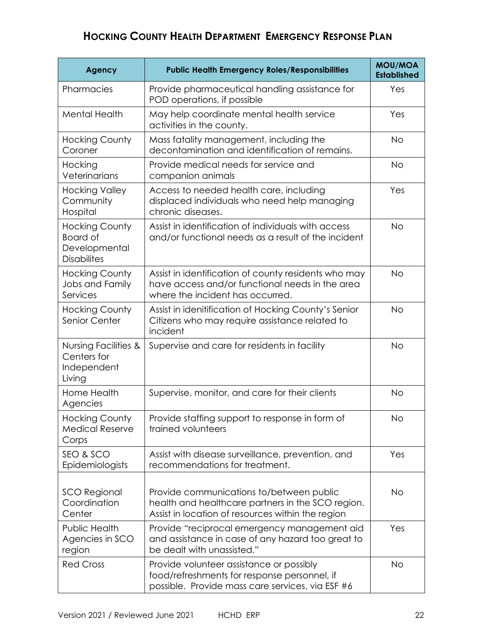| Agency                                                                          | <b>Public Health Emergency Roles/Responsibilities</b>                                                                                              | <b>MOU/MOA</b><br><b>Established</b> |
|---------------------------------------------------------------------------------|----------------------------------------------------------------------------------------------------------------------------------------------------|--------------------------------------|
| Pharmacies                                                                      | Provide pharmaceutical handling assistance for<br>POD operations, if possible                                                                      | Yes                                  |
| <b>Mental Health</b>                                                            | May help coordinate mental health service<br>activities in the county.                                                                             | Yes                                  |
| <b>Hocking County</b><br>Coroner                                                | Mass fatality management, including the<br>decontamination and identification of remains.                                                          | <b>No</b>                            |
| Hocking<br>Veterinarians                                                        | Provide medical needs for service and<br>companion animals                                                                                         | <b>No</b>                            |
| <b>Hocking Valley</b><br>Community<br>Hospital                                  | Access to needed health care, including<br>displaced individuals who need help managing<br>chronic diseases.                                       | Yes                                  |
| <b>Hocking County</b><br><b>Board of</b><br>Developmental<br><b>Disabilites</b> | Assist in identification of individuals with access<br>and/or functional needs as a result of the incident                                         | <b>No</b>                            |
| <b>Hocking County</b><br>Jobs and Family<br>Services                            | Assist in identification of county residents who may<br>have access and/or functional needs in the area<br>where the incident has occurred.        | <b>No</b>                            |
| <b>Hocking County</b><br>Senior Center                                          | Assist in idenitification of Hocking County's Senior<br>Citizens who may require assistance related to<br>incident                                 | <b>No</b>                            |
| <b>Nursing Facilities &amp;</b><br>Centers for<br>Independent<br>Living         | Supervise and care for residents in facility                                                                                                       | <b>No</b>                            |
| Home Health<br>Agencies                                                         | Supervise, monitor, and care for their clients                                                                                                     | <b>No</b>                            |
| <b>Hocking County</b><br><b>Medical Reserve</b><br>Corps                        | Provide staffing support to response in form of<br>trained volunteers                                                                              | No                                   |
| SEO & SCO<br>Epidemiologists                                                    | Assist with disease surveillance, prevention, and<br>recommendations for treatment.                                                                | Yes                                  |
| <b>SCO Regional</b><br>Coordination<br>Center                                   | Provide communications to/between public<br>health and healthcare partners in the SCO region.<br>Assist in location of resources within the region | No                                   |
| Public Health<br>Agencies in SCO<br>region                                      | Provide "reciprocal emergency management aid<br>and assistance in case of any hazard too great to<br>be dealt with unassisted."                    | Yes                                  |
| <b>Red Cross</b>                                                                | Provide volunteer assistance or possibly<br>food/refreshments for response personnel, if<br>possible. Provide mass care services, via ESF #6       | <b>No</b>                            |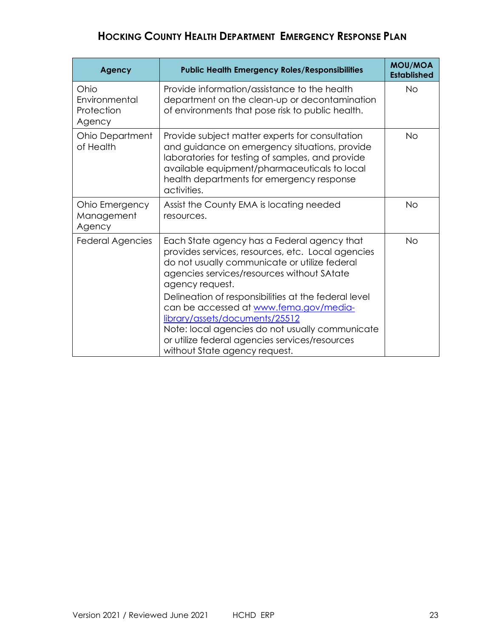| Agency                                        | <b>Public Health Emergency Roles/Responsibilities</b>                                                                                                                                                                                                                                                                                                                                                                                                                                        | <b>MOU/MOA</b><br><b>Established</b> |
|-----------------------------------------------|----------------------------------------------------------------------------------------------------------------------------------------------------------------------------------------------------------------------------------------------------------------------------------------------------------------------------------------------------------------------------------------------------------------------------------------------------------------------------------------------|--------------------------------------|
| Ohio<br>Environmental<br>Protection<br>Agency | Provide information/assistance to the health<br>department on the clean-up or decontamination<br>of environments that pose risk to public health.                                                                                                                                                                                                                                                                                                                                            | <b>No</b>                            |
| <b>Ohio Department</b><br>of Health           | Provide subject matter experts for consultation<br>and guidance on emergency situations, provide<br>laboratories for testing of samples, and provide<br>available equipment/pharmaceuticals to local<br>health departments for emergency response<br>activities.                                                                                                                                                                                                                             | <b>No</b>                            |
| Ohio Emergency<br>Management<br>Agency        | Assist the County EMA is locating needed<br>resources.                                                                                                                                                                                                                                                                                                                                                                                                                                       | <b>No</b>                            |
| <b>Federal Agencies</b>                       | Each State agency has a Federal agency that<br>provides services, resources, etc. Local agencies<br>do not usually communicate or utilize federal<br>agencies services/resources without SAtate<br>agency request.<br>Delineation of responsibilities at the federal level<br>can be accessed at www.fema.gov/media-<br>library/assets/documents/25512<br>Note: local agencies do not usually communicate<br>or utilize federal agencies services/resources<br>without State agency request. | <b>No</b>                            |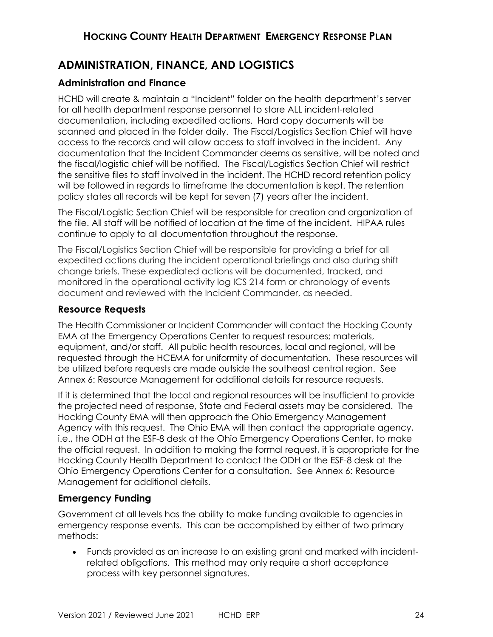# <span id="page-29-0"></span>**ADMINISTRATION, FINANCE, AND LOGISTICS**

### <span id="page-29-4"></span><span id="page-29-1"></span>**Administration and Finance**

HCHD will create & maintain a "Incident" folder on the health department's server for all health department response personnel to store ALL incident-related documentation, including expedited actions. Hard copy documents will be scanned and placed in the folder daily. The Fiscal/Logistics Section Chief will have access to the records and will allow access to staff involved in the incident. Any documentation that the Incident Commander deems as sensitive, will be noted and the fiscal/logistic chief will be notified. The Fiscal/Logistics Section Chief will restrict the sensitive files to staff involved in the incident. The HCHD record retention policy will be followed in regards to timeframe the documentation is kept. The retention policy states all records will be kept for seven (7) years after the incident.

The Fiscal/Logistic Section Chief will be responsible for creation and organization of the file. All staff will be notified of location at the time of the incident. HIPAA rules continue to apply to all documentation throughout the response.

The Fiscal/Logistics Section Chief will be responsible for providing a brief for all expedited actions during the incident operational briefings and also during shift change briefs. These expediated actions will be documented, tracked, and monitored in the operational activity log ICS 214 form or chronology of events document and reviewed with the Incident Commander, as needed.

### <span id="page-29-2"></span>**Resource Requests**

The Health Commissioner or Incident Commander will contact the Hocking County EMA at the Emergency Operations Center to request resources; materials, equipment, and/or staff. All public health resources, local and regional, will be requested through the HCEMA for uniformity of documentation. These resources will be utilized before requests are made outside the southeast central region. See Annex 6: Resource Management for additional details for resource requests.

If it is determined that the local and regional resources will be insufficient to provide the projected need of response, State and Federal assets may be considered. The Hocking County EMA will then approach the Ohio Emergency Management Agency with this request. The Ohio EMA will then contact the appropriate agency, i.e., the ODH at the ESF-8 desk at the Ohio Emergency Operations Center, to make the official request. In addition to making the formal request, it is appropriate for the Hocking County Health Department to contact the ODH or the ESF-8 desk at the Ohio Emergency Operations Center for a consultation. See Annex 6: Resource Management for additional details.

#### <span id="page-29-3"></span>**Emergency Funding**

Government at all levels has the ability to make funding available to agencies in emergency response events. This can be accomplished by either of two primary methods:

• Funds provided as an increase to an existing grant and marked with incidentrelated obligations. This method may only require a short acceptance process with key personnel signatures.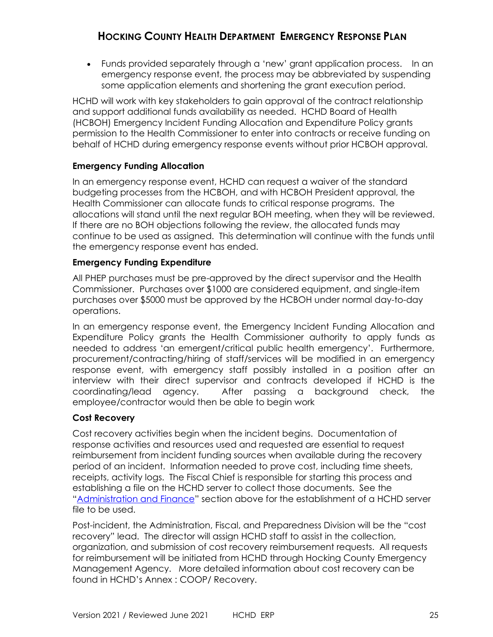• Funds provided separately through a 'new' grant application process. In an emergency response event, the process may be abbreviated by suspending some application elements and shortening the grant execution period.

HCHD will work with key stakeholders to gain approval of the contract relationship and support additional funds availability as needed. HCHD Board of Health (HCBOH) Emergency Incident Funding Allocation and Expenditure Policy grants permission to the Health Commissioner to enter into contracts or receive funding on behalf of HCHD during emergency response events without prior HCBOH approval.

#### **Emergency Funding Allocation**

In an emergency response event, HCHD can request a waiver of the standard budgeting processes from the HCBOH, and with HCBOH President approval, the Health Commissioner can allocate funds to critical response programs. The allocations will stand until the next regular BOH meeting, when they will be reviewed. If there are no BOH objections following the review, the allocated funds may continue to be used as assigned. This determination will continue with the funds until the emergency response event has ended.

#### **Emergency Funding Expenditure**

All PHEP purchases must be pre-approved by the direct supervisor and the Health Commissioner. Purchases over \$1000 are considered equipment, and single-item purchases over \$5000 must be approved by the HCBOH under normal day-to-day operations.

In an emergency response event, the Emergency Incident Funding Allocation and Expenditure Policy grants the Health Commissioner authority to apply funds as needed to address 'an emergent/critical public health emergency'. Furthermore, procurement/contracting/hiring of staff/services will be modified in an emergency response event, with emergency staff possibly installed in a position after an interview with their direct supervisor and contracts developed if HCHD is the coordinating/lead agency. After passing a background check, the employee/contractor would then be able to begin work

#### <span id="page-30-0"></span>**Cost Recovery**

Cost recovery activities begin when the incident begins. Documentation of response activities and resources used and requested are essential to request reimbursement from incident funding sources when available during the recovery period of an incident. Information needed to prove cost, including time sheets, receipts, activity logs. The Fiscal Chief is responsible for starting this process and establishing a file on the HCHD server to collect those documents. See the "[Administration and Finance](#page-29-4)" section above for the establishment of a HCHD server file to be used.

Post-incident, the Administration, Fiscal, and Preparedness Division will be the "cost recovery" lead. The director will assign HCHD staff to assist in the collection, organization, and submission of cost recovery reimbursement requests. All requests for reimbursement will be initiated from HCHD through Hocking County Emergency Management Agency. More detailed information about cost recovery can be found in HCHD's Annex : COOP/ Recovery.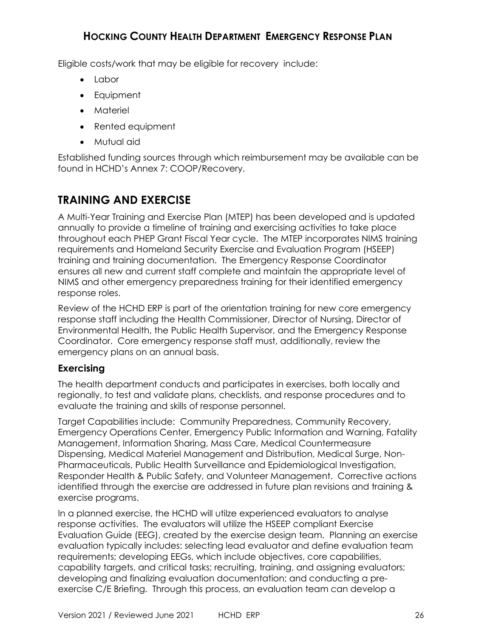Eligible costs/work that may be eligible for recovery include:

- Labor
- Equipment
- Materiel
- Rented equipment
- <span id="page-31-0"></span>• Mutual aid

Established funding sources through which reimbursement may be available can be found in HCHD's Annex 7: COOP/Recovery.

# **TRAINING AND EXERCISE**

A Multi-Year Training and Exercise Plan (MTEP) has been developed and is updated annually to provide a timeline of training and exercising activities to take place throughout each PHEP Grant Fiscal Year cycle. The MTEP incorporates NIMS training requirements and Homeland Security Exercise and Evaluation Program (HSEEP) training and training documentation. The Emergency Response Coordinator ensures all new and current staff complete and maintain the appropriate level of NIMS and other emergency preparedness training for their identified emergency response roles.

Review of the HCHD ERP is part of the orientation training for new core emergency response staff including the Health Commissioner, Director of Nursing, Director of Environmental Health, the Public Health Supervisor, and the Emergency Response Coordinator. Core emergency response staff must, additionally, review the emergency plans on an annual basis.

### **Exercising**

The health department conducts and participates in exercises, both locally and regionally, to test and validate plans, checklists, and response procedures and to evaluate the training and skills of response personnel.

Target Capabilities include: Community Preparedness, Community Recovery, Emergency Operations Center, Emergency Public Information and Warning, Fatality Management, Information Sharing, Mass Care, Medical Countermeasure Dispensing, Medical Materiel Management and Distribution, Medical Surge, Non-Pharmaceuticals, Public Health Surveillance and Epidemiological Investigation, Responder Health & Public Safety, and Volunteer Management. Corrective actions identified through the exercise are addressed in future plan revisions and training & exercise programs.

In a planned exercise, the HCHD will utilze experienced evaluators to analyse response activities. The evaluators will utilize the HSEEP compliant Exercise Evaluation Guide (EEG), created by the exercise design team. Planning an exercise evaluation typically includes: selecting lead evaluator and define evaluation team requirements; developing EEGs, which include objectives, core capabilities, capability targets, and critical tasks; recruiting, training, and assigning evaluators; developing and finalizing evaluation documentation; and conducting a preexercise C/E Briefing. Through this process, an evaluation team can develop a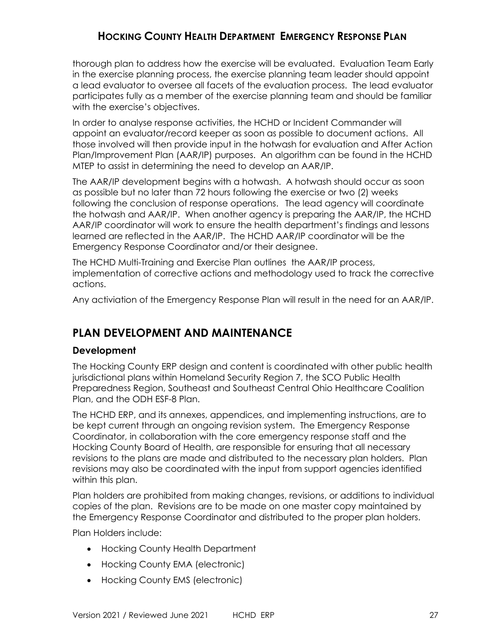thorough plan to address how the exercise will be evaluated. Evaluation Team Early in the exercise planning process, the exercise planning team leader should appoint a lead evaluator to oversee all facets of the evaluation process. The lead evaluator participates fully as a member of the exercise planning team and should be familiar with the exercise's objectives.

In order to analyse response activities, the HCHD or Incident Commander will appoint an evaluator/record keeper as soon as possible to document actions. All those involved will then provide input in the hotwash for evaluation and After Action Plan/Improvement Plan (AAR/IP) purposes. An algorithm can be found in the HCHD MTEP to assist in determining the need to develop an AAR/IP.

The AAR/IP development begins with a hotwash. A hotwash should occur as soon as possible but no later than 72 hours following the exercise or two (2) weeks following the conclusion of response operations. The lead agency will coordinate the hotwash and AAR/IP. When another agency is preparing the AAR/IP, the HCHD AAR/IP coordinator will work to ensure the health department's findings and lessons learned are reflected in the AAR/IP. The HCHD AAR/IP coordinator will be the Emergency Response Coordinator and/or their designee.

The HCHD Multi-Training and Exercise Plan outlines the AAR/IP process, implementation of corrective actions and methodology used to track the corrective actions.

Any activiation of the Emergency Response Plan will result in the need for an AAR/IP.

### <span id="page-32-0"></span>**PLAN DEVELOPMENT AND MAINTENANCE**

#### **Development**

The Hocking County ERP design and content is coordinated with other public health jurisdictional plans within Homeland Security Region 7, the SCO Public Health Preparedness Region, Southeast and Southeast Central Ohio Healthcare Coalition Plan, and the ODH ESF-8 Plan.

The HCHD ERP, and its annexes, appendices, and implementing instructions, are to be kept current through an ongoing revision system. The Emergency Response Coordinator, in collaboration with the core emergency response staff and the Hocking County Board of Health, are responsible for ensuring that all necessary revisions to the plans are made and distributed to the necessary plan holders. Plan revisions may also be coordinated with the input from support agencies identified within this plan.

Plan holders are prohibited from making changes, revisions, or additions to individual copies of the plan. Revisions are to be made on one master copy maintained by the Emergency Response Coordinator and distributed to the proper plan holders.

Plan Holders include:

- Hocking County Health Department
- Hocking County EMA (electronic)
- Hocking County EMS (electronic)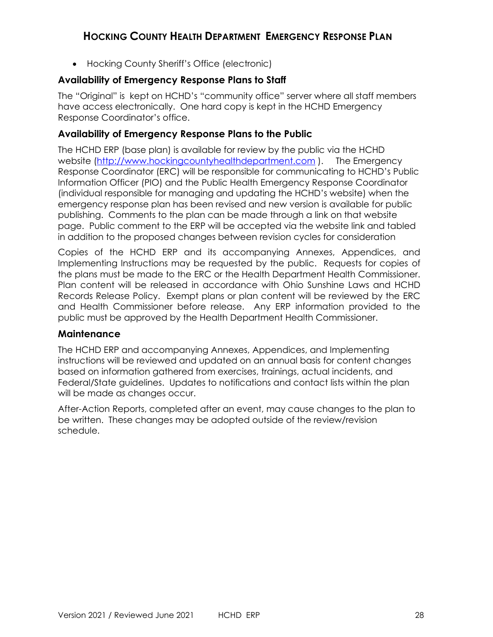• Hocking County Sheriff's Office (electronic)

### **Availability of Emergency Response Plans to Staff**

The "Original" is kept on HCHD's "community office" server where all staff members have access electronically. One hard copy is kept in the HCHD Emergency Response Coordinator's office.

### **Availability of Emergency Response Plans to the Public**

The HCHD ERP (base plan) is available for review by the public via the HCHD website [\(http://www.hockingcountyhealthdepartment.com](http://www.hockingcountyhealthdepartment.com/) ). The Emergency Response Coordinator (ERC) will be responsible for communicating to HCHD's Public Information Officer (PIO) and the Public Health Emergency Response Coordinator (individual responsible for managing and updating the HCHD's website) when the emergency response plan has been revised and new version is available for public publishing. Comments to the plan can be made through a link on that website page. Public comment to the ERP will be accepted via the website link and tabled in addition to the proposed changes between revision cycles for consideration

Copies of the HCHD ERP and its accompanying Annexes, Appendices, and Implementing Instructions may be requested by the public. Requests for copies of the plans must be made to the ERC or the Health Department Health Commissioner. Plan content will be released in accordance with Ohio Sunshine Laws and HCHD Records Release Policy. Exempt plans or plan content will be reviewed by the ERC and Health Commissioner before release. Any ERP information provided to the public must be approved by the Health Department Health Commissioner.

### **Maintenance**

The HCHD ERP and accompanying Annexes, Appendices, and Implementing instructions will be reviewed and updated on an annual basis for content changes based on information gathered from exercises, trainings, actual incidents, and Federal/State guidelines. Updates to notifications and contact lists within the plan will be made as changes occur.

After-Action Reports, completed after an event, may cause changes to the plan to be written. These changes may be adopted outside of the review/revision schedule.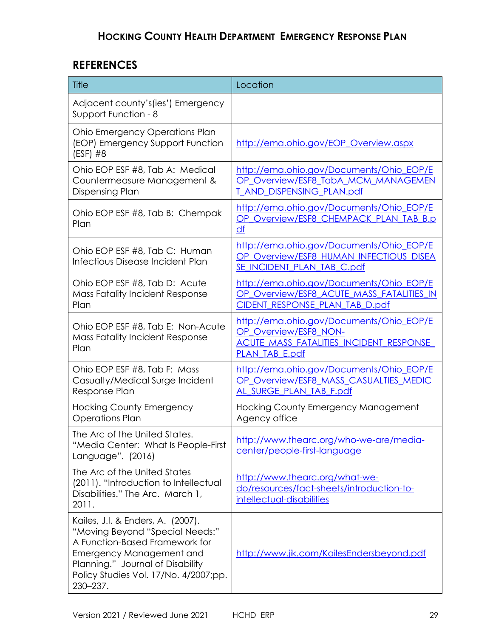# <span id="page-34-0"></span>**REFERENCES**

| Title                                                                                                                                                                                                                              | Location                                                                                                                              |  |
|------------------------------------------------------------------------------------------------------------------------------------------------------------------------------------------------------------------------------------|---------------------------------------------------------------------------------------------------------------------------------------|--|
| Adjacent county's (ies') Emergency<br>Support Function - 8                                                                                                                                                                         |                                                                                                                                       |  |
| Ohio Emergency Operations Plan<br>(EOP) Emergency Support Function<br>$(ESF)$ #8                                                                                                                                                   | http://ema.ohio.gov/EOP Overview.aspx                                                                                                 |  |
| Ohio EOP ESF #8, Tab A: Medical<br>Countermeasure Management &<br>Dispensing Plan                                                                                                                                                  | http://ema.ohio.gov/Documents/Ohio EOP/E<br>OP Overview/ESF8 TabA MCM MANAGEMEN<br>T AND DISPENSING PLAN.pdf                          |  |
| Ohio EOP ESF #8, Tab B: Chempak<br>Plan                                                                                                                                                                                            | http://ema.ohio.gov/Documents/Ohio_EOP/E<br>OP_Overview/ESF8_CHEMPACK_PLAN_TAB_B.p<br>df                                              |  |
| Ohio EOP ESF #8, Tab C: Human<br>Infectious Disease Incident Plan                                                                                                                                                                  | http://ema.ohio.gov/Documents/Ohio_EOP/E<br>OP_Overview/ESF8_HUMAN_INFECTIOUS_DISEA<br>SE_INCIDENT_PLAN_TAB_C.pdf                     |  |
| Ohio EOP ESF #8, Tab D: Acute<br><b>Mass Fatality Incident Response</b><br>Plan                                                                                                                                                    | http://ema.ohio.gov/Documents/Ohio EOP/E<br>OP_Overview/ESF8_ACUTE_MASS_FATALITIES_IN<br>CIDENT RESPONSE PLAN TAB D.pdf               |  |
| Ohio EOP ESF #8, Tab E: Non-Acute<br>Mass Fatality Incident Response<br>Plan                                                                                                                                                       | http://ema.ohio.gov/Documents/Ohio EOP/E<br>OP_Overview/ESF8_NON-<br><b>ACUTE MASS FATALITIES INCIDENT RESPONSE</b><br>PLAN_TAB_E.pdf |  |
| Ohio EOP ESF #8, Tab F: Mass<br>Casualty/Medical Surge Incident<br>Response Plan                                                                                                                                                   | http://ema.ohio.gov/Documents/Ohio_EOP/E<br>OP_Overview/ESF8_MASS_CASUALTIES_MEDIC<br>AL_SURGE_PLAN_TAB_F.pdf                         |  |
| <b>Hocking County Emergency</b><br><b>Operations Plan</b>                                                                                                                                                                          | Hocking County Emergency Management<br>Agency office                                                                                  |  |
| The Arc of the United States<br>"Media Center: What Is People-First<br>Language". (2016)                                                                                                                                           | http://www.thearc.org/who-we-are/media-<br>center/people-first-language                                                               |  |
| The Arc of the United States<br>(2011). "Introduction to Intellectual<br>Disabilities." The Arc. March 1,<br>2011.                                                                                                                 | http://www.thearc.org/what-we-<br>do/resources/fact-sheets/introduction-to-<br>intellectual-disabilities                              |  |
| Kailes, J.I. & Enders, A. (2007).<br>"Moving Beyond "Special Needs:"<br>A Function-Based Framework for<br><b>Emergency Management and</b><br>Planning." Journal of Disability<br>Policy Studies Vol. 17/No. 4/2007;pp.<br>230-237. | http://www.jik.com/KailesEndersbeyond.pdf                                                                                             |  |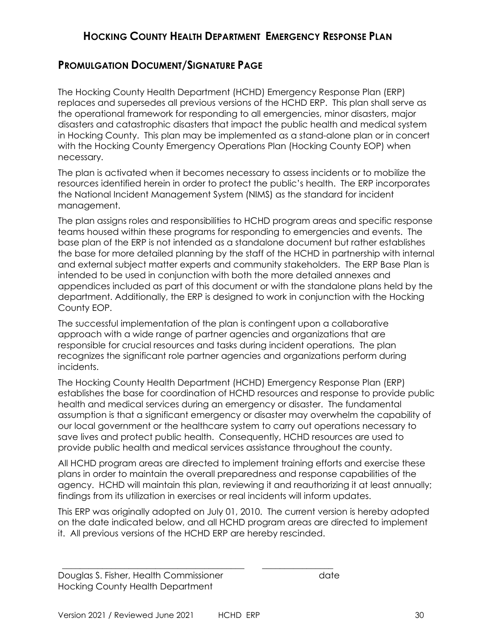### <span id="page-35-0"></span>**PROMULGATION DOCUMENT/SIGNATURE PAGE**

The Hocking County Health Department (HCHD) Emergency Response Plan (ERP) replaces and supersedes all previous versions of the HCHD ERP. This plan shall serve as the operational framework for responding to all emergencies, minor disasters, major disasters and catastrophic disasters that impact the public health and medical system in Hocking County. This plan may be implemented as a stand-alone plan or in concert with the Hocking County Emergency Operations Plan (Hocking County EOP) when necessary.

The plan is activated when it becomes necessary to assess incidents or to mobilize the resources identified herein in order to protect the public's health. The ERP incorporates the National Incident Management System (NIMS) as the standard for incident management.

The plan assigns roles and responsibilities to HCHD program areas and specific response teams housed within these programs for responding to emergencies and events. The base plan of the ERP is not intended as a standalone document but rather establishes the base for more detailed planning by the staff of the HCHD in partnership with internal and external subject matter experts and community stakeholders. The ERP Base Plan is intended to be used in conjunction with both the more detailed annexes and appendices included as part of this document or with the standalone plans held by the department. Additionally, the ERP is designed to work in conjunction with the Hocking County EOP.

The successful implementation of the plan is contingent upon a collaborative approach with a wide range of partner agencies and organizations that are responsible for crucial resources and tasks during incident operations. The plan recognizes the significant role partner agencies and organizations perform during incidents.

The Hocking County Health Department (HCHD) Emergency Response Plan (ERP) establishes the base for coordination of HCHD resources and response to provide public health and medical services during an emergency or disaster. The fundamental assumption is that a significant emergency or disaster may overwhelm the capability of our local government or the healthcare system to carry out operations necessary to save lives and protect public health. Consequently, HCHD resources are used to provide public health and medical services assistance throughout the county.

All HCHD program areas are directed to implement training efforts and exercise these plans in order to maintain the overall preparedness and response capabilities of the agency. HCHD will maintain this plan, reviewing it and reauthorizing it at least annually; findings from its utilization in exercises or real incidents will inform updates.

This ERP was originally adopted on July 01, 2010. The current version is hereby adopted on the date indicated below, and all HCHD program areas are directed to implement it. All previous versions of the HCHD ERP are hereby rescinded.

Douglas S. Fisher, Health Commissioner date date Hocking County Health Department

\_\_\_\_\_\_\_\_\_\_\_\_\_\_\_\_\_\_\_\_\_\_\_\_\_\_\_\_\_\_\_\_\_\_\_\_\_\_\_\_\_ \_\_\_\_\_\_\_\_\_\_\_\_\_\_\_\_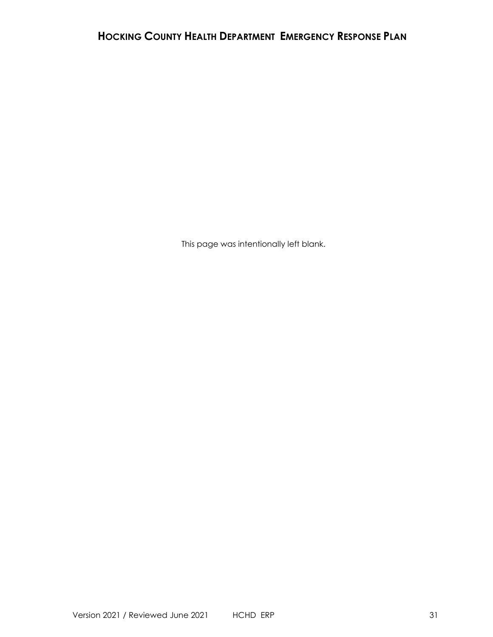This page was intentionally left blank.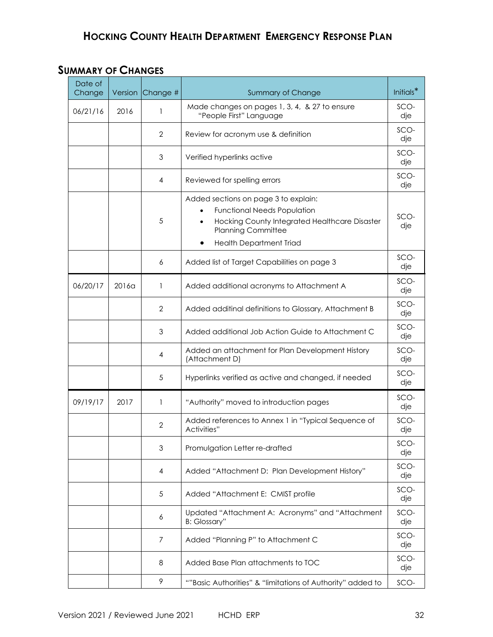### **SUMMARY OF CHANGES**

| Date of<br>Change |       | Version Change # | Summary of Change                                                                                                                                                                                                    | Initials*   |
|-------------------|-------|------------------|----------------------------------------------------------------------------------------------------------------------------------------------------------------------------------------------------------------------|-------------|
| 06/21/16          | 2016  | 1                | Made changes on pages 1, 3, 4, & 27 to ensure<br>"People First" Language                                                                                                                                             | SCO-<br>dje |
|                   |       | $\overline{2}$   | Review for acronym use & definition                                                                                                                                                                                  | SCO-<br>dje |
|                   |       | 3                | Verified hyperlinks active                                                                                                                                                                                           | SCO-<br>dje |
|                   |       | 4                | Reviewed for spelling errors                                                                                                                                                                                         | SCO-<br>dje |
|                   |       | 5                | Added sections on page 3 to explain:<br><b>Functional Needs Population</b><br>Hocking County Integrated Healthcare Disaster<br>$\bullet$<br><b>Planning Committee</b><br><b>Health Department Triad</b><br>$\bullet$ | SCO-<br>dje |
|                   |       | 6                | Added list of Target Capabilities on page 3                                                                                                                                                                          | SCO-<br>dje |
| 06/20/17          | 2016a | 1                | Added additional acronyms to Attachment A                                                                                                                                                                            | SCO-<br>dje |
|                   |       | 2                | Added additinal definitions to Glossary, Attachment B                                                                                                                                                                | SCO-<br>dje |
|                   |       | 3                | Added additional Job Action Guide to Attachment C                                                                                                                                                                    | SCO-<br>dje |
|                   |       | 4                | Added an attachment for Plan Development History<br>(Attachment D)                                                                                                                                                   | SCO-<br>dje |
|                   |       | 5                | Hyperlinks verified as active and changed, if needed                                                                                                                                                                 | SCO-<br>dje |
| 09/19/17          | 2017  | 1                | "Authority" moved to introduction pages                                                                                                                                                                              | SCO-<br>dje |
|                   |       | $\overline{2}$   | Added references to Annex 1 in "Typical Sequence of<br>Activities"                                                                                                                                                   | SCO-<br>dje |
|                   |       | 3                | Promulgation Letter re-drafted                                                                                                                                                                                       | SCO-<br>dje |
|                   |       | 4                | Added "Attachment D: Plan Development History"                                                                                                                                                                       | SCO-<br>dje |
|                   |       | 5                | Added "Attachment E: CMIST profile                                                                                                                                                                                   | SCO-<br>dje |
|                   |       | 6                | Updated "Attachment A: Acronyms" and "Attachment<br><b>B: Glossary"</b>                                                                                                                                              | SCO-<br>dje |
|                   |       | 7                | Added "Planning P" to Attachment C                                                                                                                                                                                   | SCO-<br>dje |
|                   |       | 8                | Added Base Plan attachments to TOC                                                                                                                                                                                   | SCO-<br>dje |
|                   |       | 9                | ""Basic Authorities" & "limitations of Authority" added to                                                                                                                                                           | SCO-        |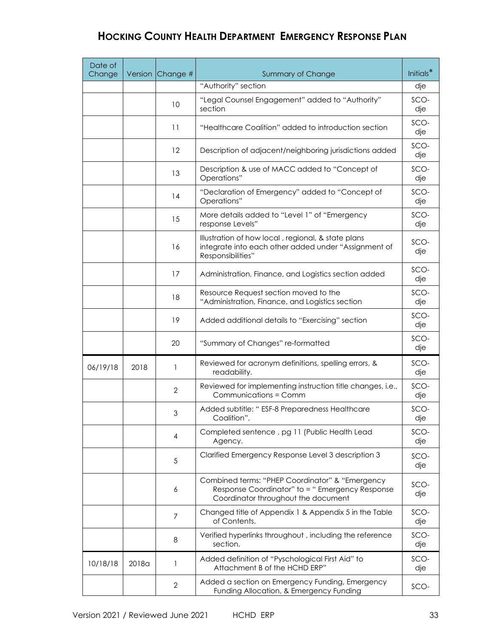| Date of<br>Change |       | Version Change # | <b>Summary of Change</b>                                                                                                                  | Initials*   |
|-------------------|-------|------------------|-------------------------------------------------------------------------------------------------------------------------------------------|-------------|
|                   |       |                  | "Authority" section                                                                                                                       | dje         |
|                   |       | 10               | "Legal Counsel Engagement" added to "Authority"<br>section                                                                                | SCO-<br>dje |
|                   |       | 11               | "Healthcare Coalition" added to introduction section                                                                                      | SCO-<br>dje |
|                   |       | 12               | Description of adjacent/neighboring jurisdictions added                                                                                   | SCO-<br>dje |
|                   |       | 13               | Description & use of MACC added to "Concept of<br>Operations"                                                                             | SCO-<br>dje |
|                   |       | 14               | "Declaration of Emergency" added to "Concept of<br>Operations"                                                                            | SCO-<br>dje |
|                   |       | 15               | More details added to "Level 1" of "Emergency<br>response Levels"                                                                         | SCO-<br>dje |
|                   |       | 16               | Illustration of how local, regional, & state plans<br>integrate into each other added under "Assignment of<br>Responsibilities"           | SCO-<br>dje |
|                   |       | 17               | Administration, Finance, and Logistics section added                                                                                      | SCO-<br>dje |
|                   |       | 18               | Resource Request section moved to the<br>"Administration, Finance, and Logistics section                                                  | SCO-<br>dje |
|                   |       | 19               | Added additional details to "Exercising" section                                                                                          | SCO-<br>dje |
|                   |       | 20               | "Summary of Changes" re-formatted                                                                                                         | SCO-<br>dje |
| 06/19/18          | 2018  | 1                | Reviewed for acronym definitions, spelling errors, &<br>readability.                                                                      | SCO-<br>dje |
|                   |       | $\mathbf{2}$     | Reviewed for implementing instruction title changes, i.e.,<br>Communications = Comm                                                       | SCO-<br>dje |
|                   |       | 3                | Added subtitle: "ESF-8 Preparedness Healthcare<br>Coalition"                                                                              | SCO-<br>dje |
|                   |       | 4                | Completed sentence, pg 11 (Public Health Lead<br>Agency.                                                                                  | SCO-<br>dje |
|                   |       | 5                | Clarified Emergency Response Level 3 description 3                                                                                        | SCO-<br>dje |
|                   |       | 6                | Combined terms: "PHEP Coordinator" & "Emergency<br>Response Coordinator" to = " Emergency Response<br>Coordinator throughout the document | SCO-<br>dje |
|                   |       | 7                | Changed title of Appendix 1 & Appendix 5 in the Table<br>of Contents.                                                                     | SCO-<br>dje |
|                   |       | 8                | Verified hyperlinks throughout, including the reference<br>section.                                                                       | SCO-<br>dje |
| 10/18/18          | 2018a | 1                | Added definition of "Pyschological First Aid" to<br>Attachment B of the HCHD ERP"                                                         | SCO-<br>dje |
|                   |       | $\mathbf{2}$     | Added a section on Emergency Funding, Emergency<br>Funding Allocation, & Emergency Funding                                                | SCO-        |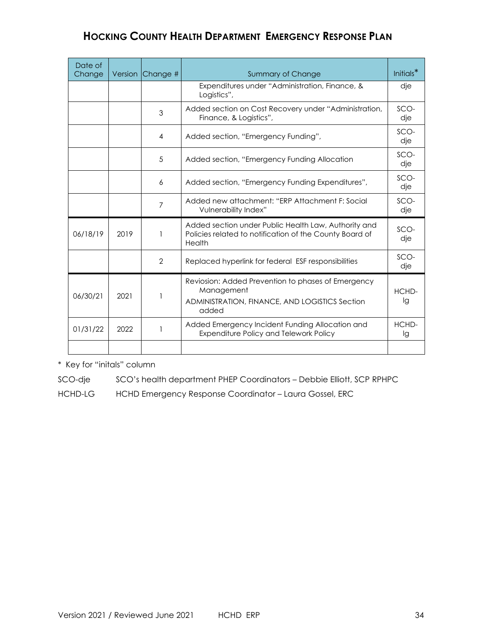| Date of<br>Change | Version | Change #       | <b>Summary of Change</b>                                                                                                    | Initials*   |
|-------------------|---------|----------------|-----------------------------------------------------------------------------------------------------------------------------|-------------|
|                   |         |                | Expenditures under "Administration, Finance, &<br>Logistics",                                                               | die         |
|                   |         | 3              | Added section on Cost Recovery under "Administration,<br>Finance, & Logistics",                                             | SCO-<br>dje |
|                   |         | 4              | Added section, "Emergency Funding",                                                                                         | SCO-<br>dje |
|                   |         | 5              | Added section, "Emergency Funding Allocation                                                                                | SCO-<br>dje |
|                   |         | 6              | Added section, "Emergency Funding Expenditures",                                                                            | SCO-<br>dje |
|                   |         | 7              | Added new attachment: "ERP Attachment F: Social<br>Vulnerability Index"                                                     | SCO-<br>dje |
| 06/18/19          | 2019    | $\mathbf{1}$   | Added section under Public Health Law, Authority and<br>Policies related to notification of the County Board of<br>Health   | SCO-<br>dje |
|                   |         | $\overline{2}$ | Replaced hyperlink for federal ESF responsibilities                                                                         | SCO-<br>dje |
| 06/30/21          | 2021    |                | Reviosion: Added Prevention to phases of Emergency<br>Management<br>ADMINISTRATION, FINANCE, AND LOGISTICS Section<br>added | HCHD-<br>lg |
| 01/31/22          | 2022    |                | Added Emergency Incident Funding Allocation and<br>Expenditure Policy and Telework Policy                                   | HCHD-<br>lg |
|                   |         |                |                                                                                                                             |             |

\* Key for "initals" column

SCO-dje SCO's health department PHEP Coordinators – Debbie Elliott, SCP RPHPC

HCHD-LG HCHD Emergency Response Coordinator – Laura Gossel, ERC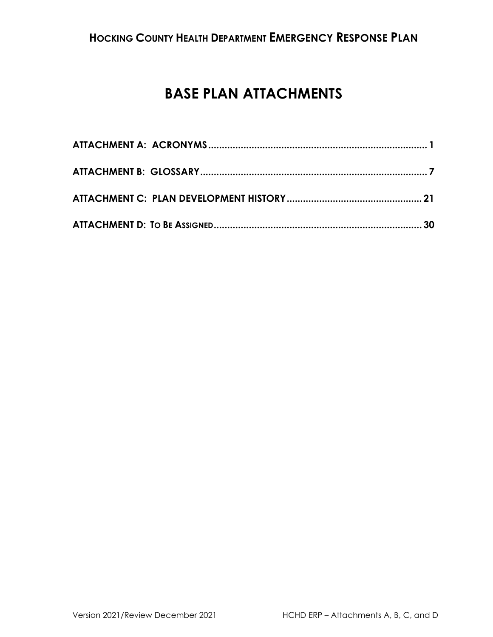# **BASE PLAN ATTACHMENTS**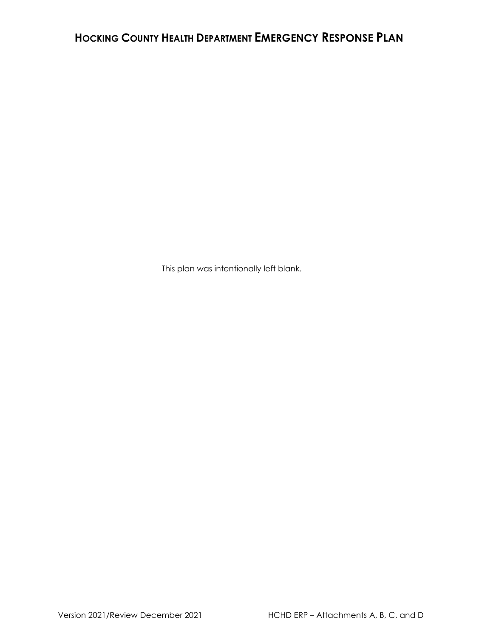This plan was intentionally left blank.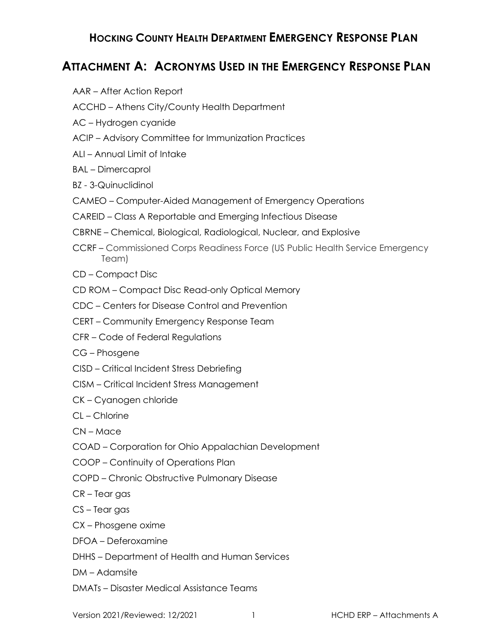# <span id="page-42-0"></span>**ATTACHMENT A: ACRONYMS USED IN THE EMERGENCY RESPONSE PLAN**

- AAR After Action Report
- ACCHD Athens City/County Health Department
- AC Hydrogen cyanide
- ACIP Advisory Committee for Immunization Practices
- ALI Annual Limit of Intake
- BAL Dimercaprol
- BZ 3-Quinuclidinol
- CAMEO Computer-Aided Management of Emergency Operations
- CAREID Class A Reportable and Emerging Infectious Disease
- CBRNE Chemical, Biological, Radiological, Nuclear, and Explosive
- CCRF Commissioned Corps Readiness Force (US Public Health Service Emergency Team)
- CD Compact Disc
- CD ROM Compact Disc Read-only Optical Memory
- CDC Centers for Disease Control and Prevention
- CERT Community Emergency Response Team
- CFR Code of Federal Regulations
- CG Phosgene
- CISD Critical Incident Stress Debriefing
- CISM Critical Incident Stress Management
- CK Cyanogen chloride
- CL Chlorine
- CN Mace
- COAD Corporation for Ohio Appalachian Development
- COOP Continuity of Operations Plan
- COPD Chronic Obstructive Pulmonary Disease
- CR Tear gas
- CS Tear gas
- CX Phosgene oxime
- DFOA Deferoxamine
- DHHS Department of Health and Human Services
- DM Adamsite
- DMATs Disaster Medical Assistance Teams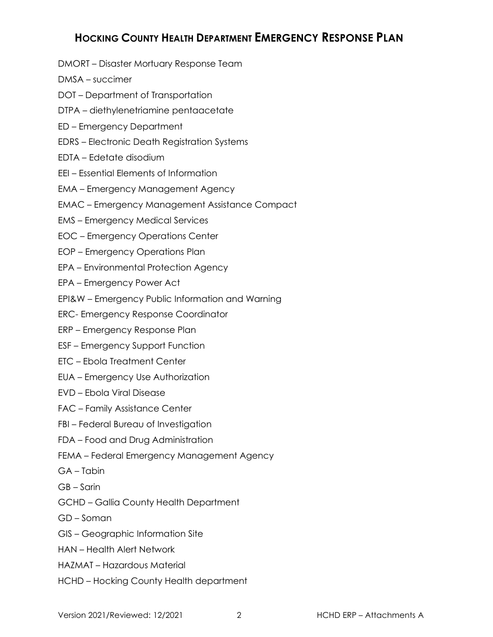- DMORT Disaster Mortuary Response Team
- DMSA succimer
- DOT Department of Transportation
- DTPA diethylenetriamine pentaacetate
- ED Emergency Department
- EDRS Electronic Death Registration Systems
- EDTA Edetate disodium
- EEI Essential Elements of Information
- EMA Emergency Management Agency
- EMAC Emergency Management Assistance Compact
- EMS Emergency Medical Services
- EOC Emergency Operations Center
- EOP Emergency Operations Plan
- EPA Environmental Protection Agency
- EPA Emergency Power Act
- EPI&W Emergency Public Information and Warning
- ERC- Emergency Response Coordinator
- ERP Emergency Response Plan
- ESF Emergency Support Function
- ETC Ebola Treatment Center
- EUA Emergency Use Authorization
- EVD Ebola Viral Disease
- FAC Family Assistance Center
- FBI Federal Bureau of Investigation
- FDA Food and Drug Administration
- FEMA Federal Emergency Management Agency
- GA Tabin
- GB Sarin
- GCHD Gallia County Health Department
- GD Soman
- GIS Geographic Information Site
- HAN Health Alert Network
- HAZMAT Hazardous Material
- HCHD Hocking County Health department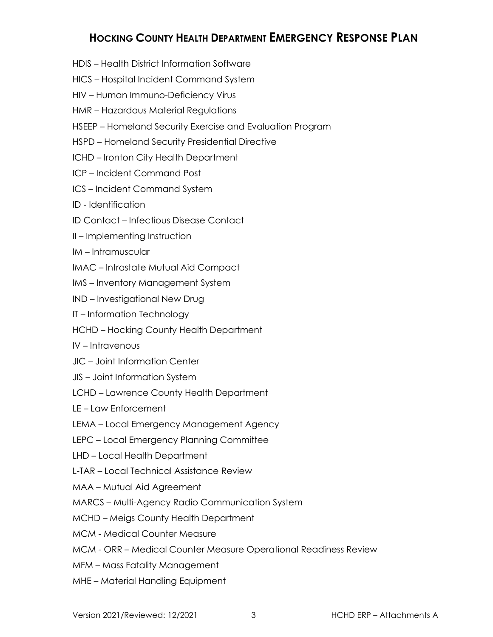- HDIS Health District Information Software
- HICS Hospital Incident Command System
- HIV Human Immuno-Deficiency Virus
- HMR Hazardous Material Regulations
- HSEEP Homeland Security Exercise and Evaluation Program
- HSPD Homeland Security Presidential Directive
- ICHD Ironton City Health Department
- ICP Incident Command Post
- ICS Incident Command System
- ID Identification
- ID Contact Infectious Disease Contact
- II Implementing Instruction
- IM Intramuscular
- IMAC Intrastate Mutual Aid Compact
- IMS Inventory Management System
- IND Investigational New Drug
- IT Information Technology
- HCHD Hocking County Health Department
- IV Intravenous
- JIC Joint Information Center
- JIS Joint Information System
- LCHD Lawrence County Health Department
- LE Law Enforcement
- LEMA Local Emergency Management Agency
- LEPC Local Emergency Planning Committee
- LHD Local Health Department
- L-TAR Local Technical Assistance Review
- MAA Mutual Aid Agreement
- MARCS Multi-Agency Radio Communication System
- MCHD Meigs County Health Department
- MCM Medical Counter Measure
- MCM ORR Medical Counter Measure Operational Readiness Review
- MFM Mass Fatality Management
- MHE Material Handling Equipment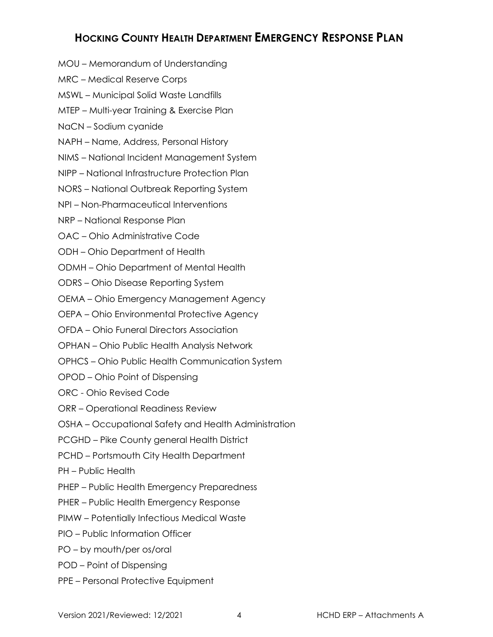- MOU Memorandum of Understanding
- MRC Medical Reserve Corps
- MSWL Municipal Solid Waste Landfills
- MTEP Multi-year Training & Exercise Plan
- NaCN Sodium cyanide
- NAPH Name, Address, Personal History
- NIMS National Incident Management System
- NIPP National Infrastructure Protection Plan
- NORS National Outbreak Reporting System
- NPI Non-Pharmaceutical Interventions
- NRP National Response Plan
- OAC Ohio Administrative Code
- ODH Ohio Department of Health
- ODMH Ohio Department of Mental Health
- ODRS Ohio Disease Reporting System
- OEMA Ohio Emergency Management Agency
- OEPA Ohio Environmental Protective Agency
- OFDA Ohio Funeral Directors Association
- OPHAN Ohio Public Health Analysis Network
- OPHCS Ohio Public Health Communication System
- OPOD Ohio Point of Dispensing
- ORC Ohio Revised Code
- ORR Operational Readiness Review
- OSHA Occupational Safety and Health Administration
- PCGHD Pike County general Health District
- PCHD Portsmouth City Health Department
- PH Public Health
- PHEP Public Health Emergency Preparedness
- PHER Public Health Emergency Response
- PIMW Potentially Infectious Medical Waste
- PIO Public Information Officer
- PO by mouth/per os/oral
- POD Point of Dispensing
- PPE Personal Protective Equipment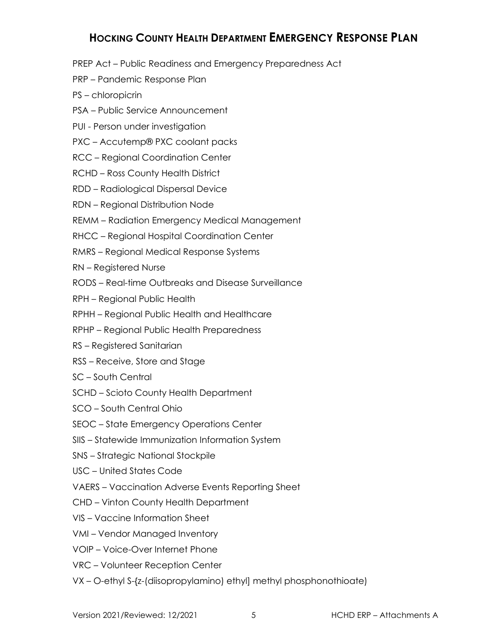- PREP Act Public Readiness and Emergency Preparedness Act
- PRP Pandemic Response Plan
- PS chloropicrin
- PSA Public Service Announcement
- PUI Person under investigation
- PXC Accutemp® PXC coolant packs
- RCC Regional Coordination Center
- RCHD Ross County Health District
- RDD Radiological Dispersal Device
- RDN Regional Distribution Node
- REMM Radiation Emergency Medical Management
- RHCC Regional Hospital Coordination Center
- RMRS Regional Medical Response Systems
- RN Registered Nurse
- RODS Real-time Outbreaks and Disease Surveillance
- RPH Regional Public Health
- RPHH Regional Public Health and Healthcare
- RPHP Regional Public Health Preparedness
- RS Registered Sanitarian
- RSS Receive, Store and Stage
- SC South Central
- SCHD Scioto County Health Department
- SCO South Central Ohio
- SEOC State Emergency Operations Center
- SIIS Statewide Immunization Information System
- SNS Strategic National Stockpile
- USC United States Code
- VAERS Vaccination Adverse Events Reporting Sheet
- CHD Vinton County Health Department
- VIS Vaccine Information Sheet
- VMI Vendor Managed Inventory
- VOIP Voice-Over Internet Phone
- VRC Volunteer Reception Center
- VX O-ethyl S-{z-(diisopropylamino) ethyl] methyl phosphonothioate)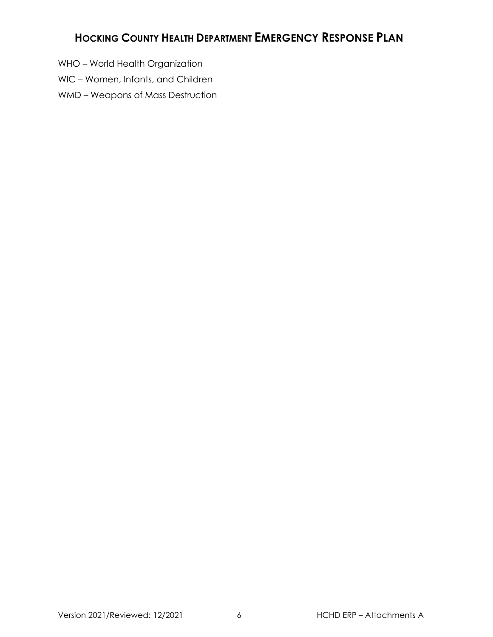- WHO World Health Organization
- WIC Women, Infants, and Children
- WMD Weapons of Mass Destruction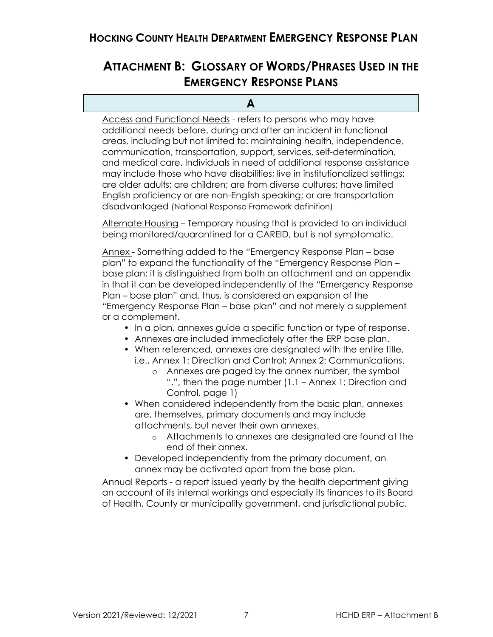# **ATTACHMENT B: GLOSSARY OF WORDS/PHRASES USED IN THE EMERGENCY RESPONSE PLANS**

### <span id="page-48-0"></span>**A**

Access and Functional Needs - refers to persons who may have additional needs before, during and after an incident in functional areas, including but not limited to: maintaining health, independence, communication, transportation, support, services, self-determination, and medical care. Individuals in need of additional response assistance may include those who have disabilities; live in institutionalized settings; are older adults; are children; are from diverse cultures; have limited English proficiency or are non-English speaking; or are transportation disadvantaged (National Response Framework definition)

Alternate Housing – Temporary housing that is provided to an individual being monitored/quarantined for a CAREID, but is not symptomatic.

Annex - Something added to the "Emergency Response Plan – base plan" to expand the functionality of the "Emergency Response Plan – base plan; it is distinguished from both an attachment and an appendix in that it can be developed independently of the "Emergency Response Plan – base plan" and, thus, is considered an expansion of the "Emergency Response Plan – base plan" and not merely a supplement or a complement.

- In a plan, annexes guide a specific function or type of response.
- Annexes are included immediately after the ERP base plan.
- When referenced, annexes are designated with the entire title, i.e., Annex 1: Direction and Control; Annex 2: Communications.
	- o Annexes are paged by the annex number, the symbol ".", then the page number (1.1 – Annex 1: Direction and Control, page 1)
- When considered independently from the basic plan, annexes are, themselves, primary documents and may include attachments, but never their own annexes.
	- o Attachments to annexes are designated are found at the end of their annex.
- Developed independently from the primary document, an annex may be activated apart from the base plan.

Annual Reports - a report issued yearly by the health department giving an account of its internal workings and especially its finances to its Board of Health, County or municipality government, and jurisdictional public.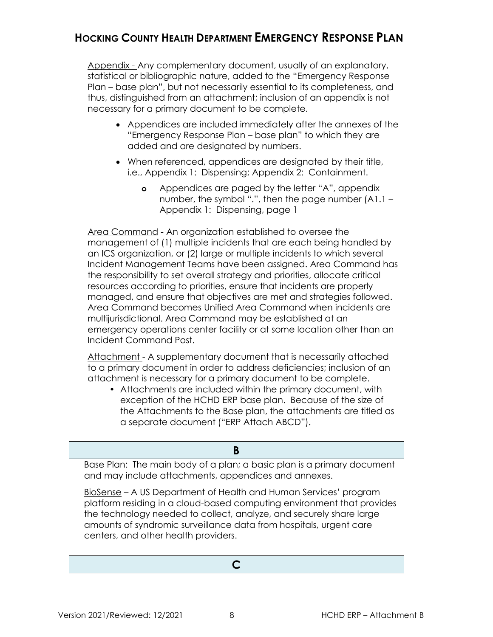Appendix - Any complementary document, usually of an explanatory, statistical or bibliographic nature, added to the "Emergency Response Plan – base plan", but not necessarily essential to its completeness, and thus, distinguished from an attachment; inclusion of an appendix is not necessary for a primary document to be complete.

- Appendices are included immediately after the annexes of the "Emergency Response Plan – base plan" to which they are added and are designated by numbers.
- When referenced, appendices are designated by their title, i.e., Appendix 1: Dispensing; Appendix 2: Containment.
	- **o** Appendices are paged by the letter "A", appendix number, the symbol ".", then the page number (A1.1 – Appendix 1: Dispensing, page 1

Area Command - An organization established to oversee the management of (1) multiple incidents that are each being handled by an ICS organization, or (2) large or multiple incidents to which several Incident Management Teams have been assigned. Area Command has the responsibility to set overall strategy and priorities, allocate critical resources according to priorities, ensure that incidents are properly managed, and ensure that objectives are met and strategies followed. Area Command becomes Unified Area Command when incidents are multijurisdictional. Area Command may be established at an emergency operations center facility or at some location other than an Incident Command Post.

Attachment - A supplementary document that is necessarily attached to a primary document in order to address deficiencies; inclusion of an attachment is necessary for a primary document to be complete.

• Attachments are included within the primary document, with exception of the HCHD ERP base plan. Because of the size of the Attachments to the Base plan, the attachments are titled as a separate document ("ERP Attach ABCD").

#### **B**

Base Plan: The main body of a plan; a basic plan is a primary document and may include attachments, appendices and annexes.

BioSense – A US Department of Health and Human Services' program platform residing in a cloud-based computing environment that provides the technology needed to collect, analyze, and securely share large amounts of syndromic surveillance data from hospitals, urgent care centers, and other health providers.

### **C**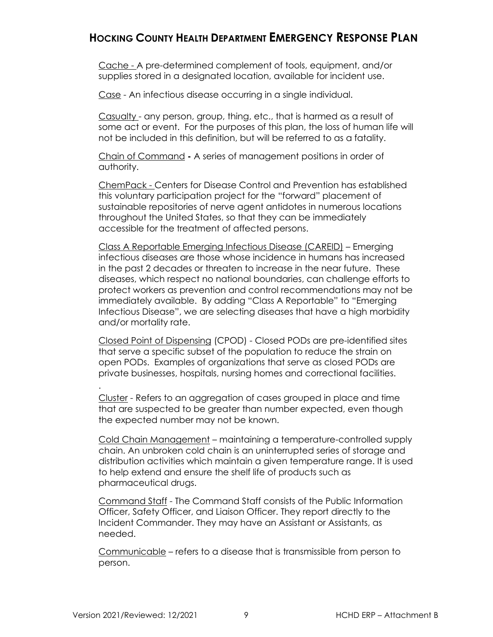Cache - A pre-determined complement of tools, equipment, and/or supplies stored in a designated location, available for incident use.

Case - An infectious disease occurring in a single individual.

Casualty - any person, group, thing, etc., that is harmed as a result of some act or event. For the purposes of this plan, the loss of human life will not be included in this definition, but will be referred to as a fatality.

Chain of Command **-** A series of management positions in order of authority.

ChemPack - Centers for Disease Control and Prevention has established this voluntary participation project for the "forward" placement of sustainable repositories of nerve agent antidotes in numerous locations throughout the United States, so that they can be immediately accessible for the treatment of affected persons.

Class A Reportable Emerging Infectious Disease (CAREID) – Emerging infectious diseases are those whose incidence in humans has increased in the past 2 decades or threaten to increase in the near future. These diseases, which respect no national boundaries, can challenge efforts to protect workers as prevention and control recommendations may not be immediately available. By adding "Class A Reportable" to "Emerging Infectious Disease", we are selecting diseases that have a high morbidity and/or mortality rate.

Closed Point of Dispensing (CPOD) - Closed PODs are pre-identified sites that serve a specific subset of the population to reduce the strain on open PODs. Examples of organizations that serve as closed PODs are private businesses, hospitals, nursing homes and correctional facilities.

Cluster - Refers to an aggregation of cases grouped in place and time that are suspected to be greater than number expected, even though the expected number may not be known.

Cold Chain Management – maintaining a temperature-controlled supply chain. An unbroken cold chain is an uninterrupted series of storage and distribution activities which maintain a given temperature range. It is used to help extend and ensure the shelf life of products such as pharmaceutical drugs.

Command Staff - The Command Staff consists of the Public Information Officer, Safety Officer, and Liaison Officer. They report directly to the Incident Commander. They may have an Assistant or Assistants, as needed.

Communicable – refers to a disease that is transmissible from person to person.

.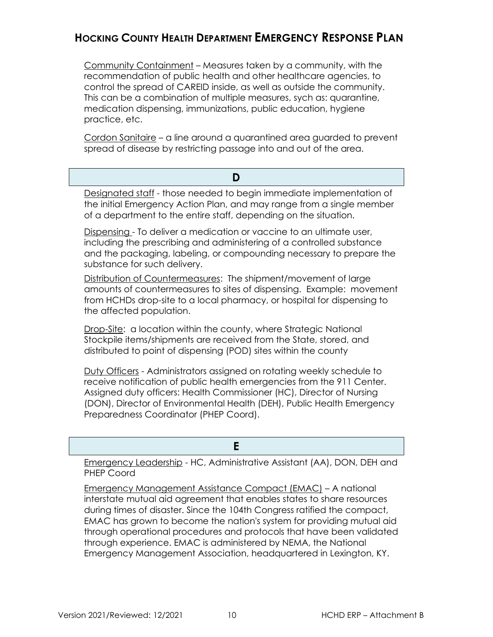Community Containment – Measures taken by a community, with the recommendation of public health and other healthcare agencies, to control the spread of CAREID inside, as well as outside the community. This can be a combination of multiple measures, sych as: quarantine, medication dispensing, immunizations, public education, hygiene practice, etc.

Cordon Sanitaire – a line around a quarantined area guarded to prevent spread of disease by restricting passage into and out of the area.

### **D** Designated staff - those needed to begin immediate implementation of the initial Emergency Action Plan, and may range from a single member of a department to the entire staff, depending on the situation.

Dispensing - To deliver a medication or vaccine to an ultimate user, including the prescribing and administering of a controlled substance and the packaging, labeling, or compounding necessary to prepare the substance for such delivery.

Distribution of Countermeasures: The shipment/movement of large amounts of countermeasures to sites of dispensing. Example: movement from HCHDs drop-site to a local pharmacy, or hospital for dispensing to the affected population.

Drop-Site: a location within the county, where Strategic National Stockpile items/shipments are received from the State, stored, and distributed to point of dispensing (POD) sites within the county

Duty Officers - Administrators assigned on rotating weekly schedule to receive notification of public health emergencies from the 911 Center. Assigned duty officers: Health Commissioner (HC), Director of Nursing (DON), Director of Environmental Health (DEH), Public Health Emergency Preparedness Coordinator (PHEP Coord).

**E**

Emergency Leadership - HC, Administrative Assistant (AA), DON, DEH and PHEP Coord

Emergency Management Assistance Compact (EMAC) – A national interstate mutual aid agreement that enables states to share resources during times of disaster. Since the 104th Congress ratified the compact, EMAC has grown to become the nation's system for providing mutual aid through operational procedures and protocols that have been validated through experience. EMAC is administered by NEMA, the National Emergency Management Association, headquartered in Lexington, KY.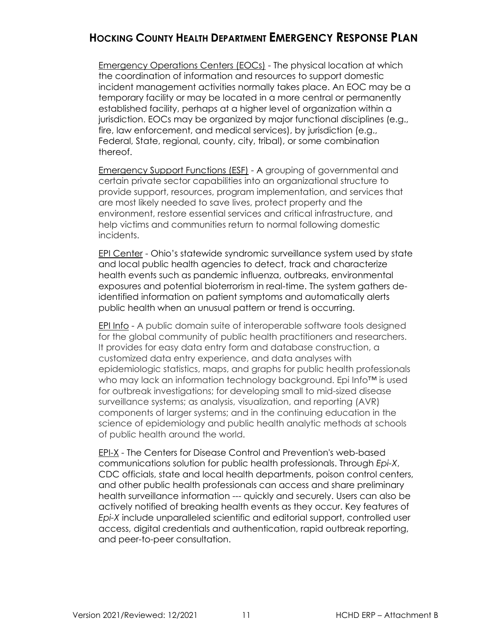Emergency Operations Centers (EOCs) - The physical location at which the coordination of information and resources to support domestic incident management activities normally takes place. An EOC may be a temporary facility or may be located in a more central or permanently established facility, perhaps at a higher level of organization within a jurisdiction. EOCs may be organized by major functional disciplines (e.g., fire, law enforcement, and medical services), by jurisdiction (e.g., Federal, State, regional, county, city, tribal), or some combination thereof.

Emergency Support Functions (ESF) - A grouping of governmental and certain private sector capabilities into an organizational structure to provide support, resources, program implementation, and services that are most likely needed to save lives, protect property and the environment, restore essential services and critical infrastructure, and help victims and communities return to normal following domestic incidents.

EPI Center - Ohio's statewide syndromic surveillance system used by state and local public health agencies to detect, track and characterize health events such as pandemic influenza, outbreaks, environmental exposures and potential bioterrorism in real-time. The system gathers deidentified information on patient symptoms and automatically alerts public health when an unusual pattern or trend is occurring.

EPI Info - A public domain suite of interoperable software tools designed for the global community of public health practitioners and researchers. It provides for easy data entry form and database construction, a customized data entry experience, and data analyses with epidemiologic statistics, maps, and graphs for public health professionals who may lack an information technology background. Epi Info™ is used for outbreak investigations; for developing small to mid-sized disease surveillance systems; as analysis, visualization, and reporting (AVR) components of larger systems; and in the continuing education in the science of epidemiology and public health analytic methods at schools of public health around the world.

EPI-X - The Centers for Disease Control and Prevention's web-based communications solution for public health professionals. Through *Epi-X*, CDC officials, state and local health departments, poison control centers, and other public health professionals can access and share preliminary health surveillance information --- quickly and securely. Users can also be actively notified of breaking health events as they occur. Key features of *Epi-X* include unparalleled scientific and editorial support, controlled user access, digital credentials and authentication, rapid outbreak reporting, and peer-to-peer consultation.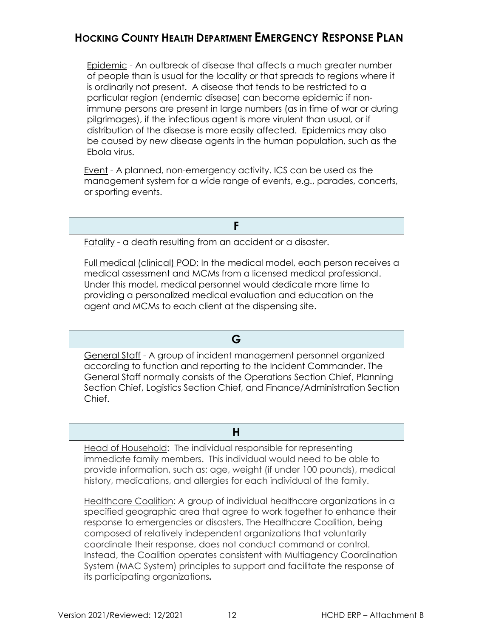Epidemic - An outbreak of disease that affects a much greater number of people than is usual for the locality or that spreads to regions where it is ordinarily not present. A disease that tends to be restricted to a particular region (endemic disease) can become epidemic if nonimmune persons are present in large numbers (as in time of war or during pilgrimages), if the infectious agent is more virulent than usual, or if distribution of the disease is more easily affected. Epidemics may also be caused by new disease agents in the human population, such as the Ebola virus.

Event - A planned, non-emergency activity. ICS can be used as the management system for a wide range of events, e.g., parades, concerts, or sporting events.

**F**

Fatality - a death resulting from an accident or a disaster.

Full medical (clinical) POD: In the medical model, each person receives a medical assessment and MCMs from a licensed medical professional. Under this model, medical personnel would dedicate more time to providing a personalized medical evaluation and education on the agent and MCMs to each client at the dispensing site.

#### **G**

General Staff - A group of incident management personnel organized according to function and reporting to the Incident Commander. The General Staff normally consists of the Operations Section Chief, Planning Section Chief, Logistics Section Chief, and Finance/Administration Section Chief.

#### **H**

Head of Household: The individual responsible for representing immediate family members. This individual would need to be able to provide information, such as: age, weight (if under 100 pounds), medical history, medications, and allergies for each individual of the family.

Healthcare Coalition: *A* group of individual healthcare organizations in a specified geographic area that agree to work together to enhance their response to emergencies or disasters. The Healthcare Coalition, being composed of relatively independent organizations that voluntarily coordinate their response, does not conduct command or control. Instead, the Coalition operates consistent with Multiagency Coordination System (MAC System) principles to support and facilitate the response of its participating organizations*.*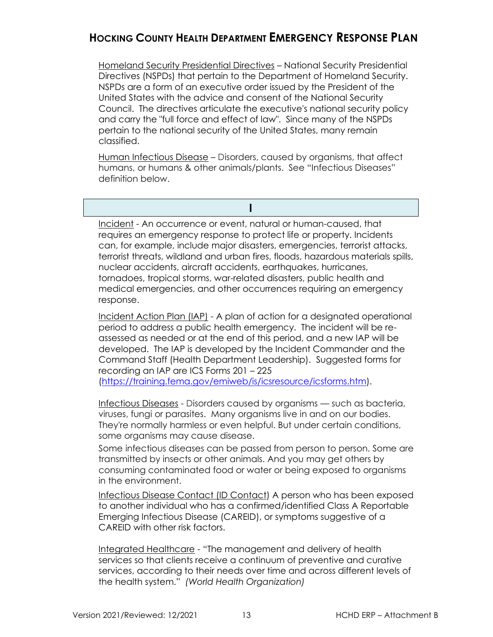Homeland Security Presidential Directives – National Security Presidential Directives (NSPDs) that pertain to the Department of Homeland Security. NSPDs are a form of an executive order issued by the President of the United States with the advice and consent of the National Security Council. The directives articulate the executive's national security policy and carry the "full force and effect of law". Since many of the NSPDs pertain to the national security of the United States, many remain classified.

Human Infectious Disease – Disorders, caused by organisms, that affect humans, or humans & other animals/plants. See "Infectious Diseases" definition below.



Incident - An occurrence or event, natural or human-caused, that requires an emergency response to protect life or property. Incidents can, for example, include major disasters, emergencies, terrorist attacks, terrorist threats, wildland and urban fires, floods, hazardous materials spills, nuclear accidents, aircraft accidents, earthquakes, hurricanes, tornadoes, tropical storms, war-related disasters, public health and medical emergencies, and other occurrences requiring an emergency response.

Incident Action Plan (IAP) - A plan of action for a designated operational period to address a public health emergency. The incident will be reassessed as needed or at the end of this period, and a new IAP will be developed. The IAP is developed by the Incident Commander and the Command Staff (Health Department Leadership). Suggested forms for recording an IAP are ICS Forms 201 – 225

[\(https://training.fema.gov/emiweb/is/icsresource/icsforms.htm\)](https://training.fema.gov/emiweb/is/icsresource/icsforms.htm).

Infectious Diseases - Disorders caused by organisms — such as bacteria, viruses, fungi or parasites. Many organisms live in and on our bodies. They're normally harmless or even helpful. But under certain conditions, some organisms may cause disease.

Some infectious diseases can be passed from person to person. Some are transmitted by insects or other animals. And you may get others by consuming contaminated food or water or being exposed to organisms in the environment.

Infectious Disease Contact (ID Contact) A person who has been exposed to another individual who has a confirmed/identified Class A Reportable Emerging Infectious Disease (CAREID), or symptoms suggestive of a CAREID with other risk factors.

Integrated Healthcare - "The management and delivery of health services so that clients receive a continuum of preventive and curative services, according to their needs over time and across different levels of the health system." *(World Health Organization)*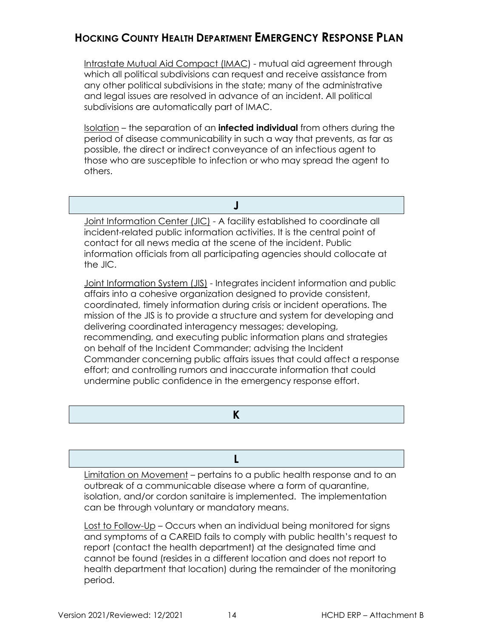Intrastate Mutual Aid Compact (IMAC) - mutual aid agreement through which all political subdivisions can request and receive assistance from any other political subdivisions in the state; many of the administrative and legal issues are resolved in advance of an incident. All political subdivisions are automatically part of IMAC.

Isolation – the separation of an **infected individual** from others during the period of disease communicability in such a way that prevents, as far as possible, the direct or indirect conveyance of an infectious agent to those who are susceptible to infection or who may spread the agent to others.

**J**

Joint Information Center (JIC) - A facility established to coordinate all incident-related public information activities. It is the central point of contact for all news media at the scene of the incident. Public information officials from all participating agencies should collocate at the JIC.

Joint Information System (JIS) - Integrates incident information and public affairs into a cohesive organization designed to provide consistent, coordinated, timely information during crisis or incident operations. The mission of the JIS is to provide a structure and system for developing and delivering coordinated interagency messages; developing, recommending, and executing public information plans and strategies on behalf of the Incident Commander; advising the Incident Commander concerning public affairs issues that could affect a response effort; and controlling rumors and inaccurate information that could undermine public confidence in the emergency response effort.

**K**

**L**

Limitation on Movement – pertains to a public health response and to an outbreak of a communicable disease where a form of quarantine, isolation, and/or cordon sanitaire is implemented. The implementation can be through voluntary or mandatory means.

Lost to Follow-Up – Occurs when an individual being monitored for signs and symptoms of a CAREID fails to comply with public health's request to report (contact the health department) at the designated time and cannot be found (resides in a different location and does not report to health department that location) during the remainder of the monitoring period.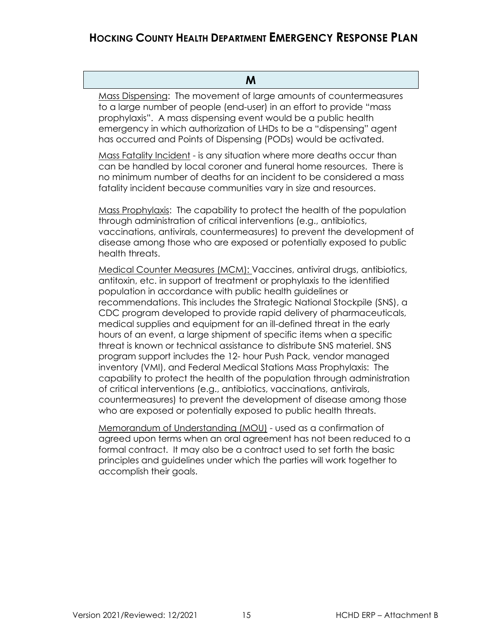### **M**

Mass Dispensing: The movement of large amounts of countermeasures to a large number of people (end-user) in an effort to provide "mass prophylaxis". A mass dispensing event would be a public health emergency in which authorization of LHDs to be a "dispensing" agent has occurred and Points of Dispensing (PODs) would be activated.

Mass Fatality Incident - is any situation where more deaths occur than can be handled by local coroner and funeral home resources. There is no minimum number of deaths for an incident to be considered a mass fatality incident because communities vary in size and resources.

Mass Prophylaxis: The capability to protect the health of the population through administration of critical interventions (e.g., antibiotics, vaccinations, antivirals, countermeasures) to prevent the development of disease among those who are exposed or potentially exposed to public health threats.

Medical Counter Measures (MCM): Vaccines, antiviral drugs, antibiotics, antitoxin, etc. in support of treatment or prophylaxis to the identified population in accordance with public health guidelines or recommendations. This includes the Strategic National Stockpile (SNS), a CDC program developed to provide rapid delivery of pharmaceuticals, medical supplies and equipment for an ill-defined threat in the early hours of an event, a large shipment of specific items when a specific threat is known or technical assistance to distribute SNS materiel. SNS program support includes the 12- hour Push Pack, vendor managed inventory (VMI), and Federal Medical Stations Mass Prophylaxis: The capability to protect the health of the population through administration of critical interventions (e.g., antibiotics, vaccinations, antivirals, countermeasures) to prevent the development of disease among those who are exposed or potentially exposed to public health threats.

Memorandum of Understanding (MOU) - used as a confirmation of agreed upon terms when an oral agreement has not been reduced to a formal contract. It may also be a contract used to set forth the basic principles and guidelines under which the parties will work together to accomplish their goals.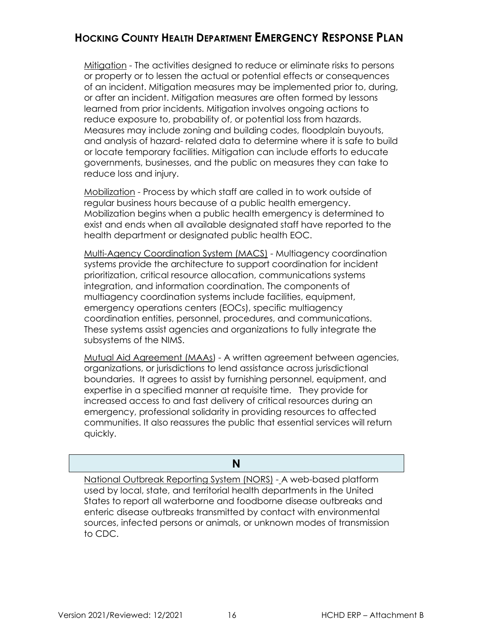Mitigation - The activities designed to reduce or eliminate risks to persons or property or to lessen the actual or potential effects or consequences of an incident. Mitigation measures may be implemented prior to, during, or after an incident. Mitigation measures are often formed by lessons learned from prior incidents. Mitigation involves ongoing actions to reduce exposure to, probability of, or potential loss from hazards. Measures may include zoning and building codes, floodplain buyouts, and analysis of hazard- related data to determine where it is safe to build or locate temporary facilities. Mitigation can include efforts to educate governments, businesses, and the public on measures they can take to reduce loss and injury.

Mobilization - Process by which staff are called in to work outside of regular business hours because of a public health emergency. Mobilization begins when a public health emergency is determined to exist and ends when all available designated staff have reported to the health department or designated public health EOC.

Multi-Agency Coordination System (MACS) - Multiagency coordination systems provide the architecture to support coordination for incident prioritization, critical resource allocation, communications systems integration, and information coordination. The components of multiagency coordination systems include facilities, equipment, emergency operations centers (EOCs), specific multiagency coordination entities, personnel, procedures, and communications. These systems assist agencies and organizations to fully integrate the subsystems of the NIMS.

Mutual Aid Agreement (MAAs) - A written agreement between agencies, organizations, or jurisdictions to lend assistance across jurisdictional boundaries. It agrees to assist by furnishing personnel, equipment, and expertise in a specified manner at requisite time. They provide for increased access to and fast delivery of critical resources during an emergency, professional solidarity in providing resources to affected communities. It also reassures the public that essential services will return quickly.

### **N**

National Outbreak Reporting System (NORS) - A web-based platform used by local, state, and territorial health departments in the United States to report all waterborne and foodborne disease outbreaks and enteric disease outbreaks transmitted by contact with environmental sources, infected persons or animals, or unknown modes of transmission to CDC.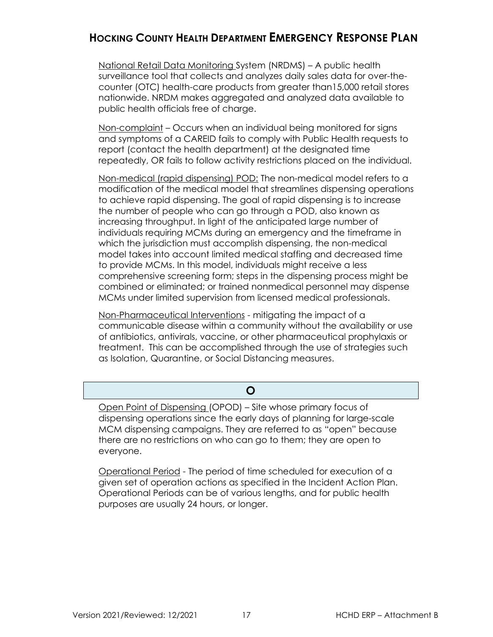National Retail Data Monitoring System (NRDMS) – A public health surveillance tool that collects and analyzes daily sales data for over-thecounter (OTC) health-care products from greater than15,000 retail stores nationwide. NRDM makes aggregated and analyzed data available to public health officials free of charge.

Non-complaint – Occurs when an individual being monitored for signs and symptoms of a CAREID fails to comply with Public Health requests to report (contact the health department) at the designated time repeatedly, OR fails to follow activity restrictions placed on the individual.

Non-medical (rapid dispensing) POD: The non-medical model refers to a modification of the medical model that streamlines dispensing operations to achieve rapid dispensing. The goal of rapid dispensing is to increase the number of people who can go through a POD, also known as increasing throughput. In light of the anticipated large number of individuals requiring MCMs during an emergency and the timeframe in which the jurisdiction must accomplish dispensing, the non-medical model takes into account limited medical staffing and decreased time to provide MCMs. In this model, individuals might receive a less comprehensive screening form; steps in the dispensing process might be combined or eliminated; or trained nonmedical personnel may dispense MCMs under limited supervision from licensed medical professionals.

Non-Pharmaceutical Interventions - mitigating the impact of a communicable disease within a community without the availability or use of antibiotics, antivirals, vaccine, or other pharmaceutical prophylaxis or treatment. This can be accomplished through the use of strategies such as Isolation, Quarantine, or Social Distancing measures.

### **O**

Open Point of Dispensing (OPOD) – Site whose primary focus of dispensing operations since the early days of planning for large-scale MCM dispensing campaigns. They are referred to as "open" because there are no restrictions on who can go to them; they are open to everyone.

Operational Period - The period of time scheduled for execution of a given set of operation actions as specified in the Incident Action Plan. Operational Periods can be of various lengths, and for public health purposes are usually 24 hours, or longer.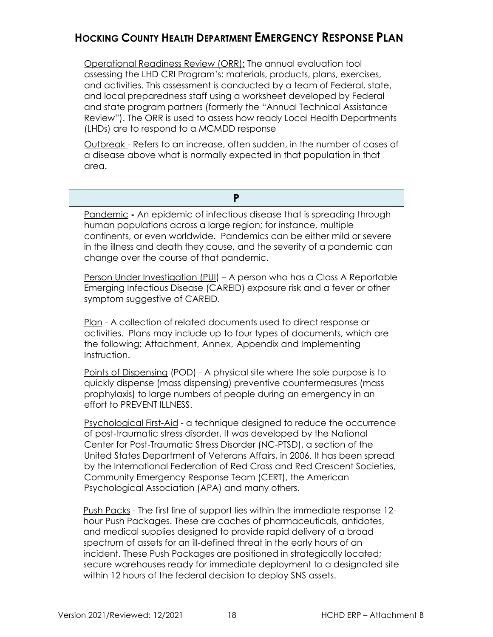Operational Readiness Review (ORR): The annual evaluation tool assessing the LHD CRI Program's: materials, products, plans, exercises, and activities. This assessment is conducted by a team of Federal, state, and local preparedness staff using a worksheet developed by Federal and state program partners (formerly the "Annual Technical Assistance Review"). The ORR is used to assess how ready Local Health Departments (LHDs) are to respond to a MCMDD response

Outbreak - Refers to an increase, often sudden, in the number of cases of a disease above what is normally expected in that population in that area.

Pandemic **-** An epidemic of infectious disease that is spreading through human populations across a large region; for instance, multiple continents, or even worldwide. Pandemics can be either mild or severe in the illness and death they cause, and the severity of a pandemic can change over the course of that pandemic.

Person Under Investigation (PUI) – A person who has a Class A Reportable Emerging Infectious Disease (CAREID) exposure risk and a fever or other symptom suggestive of CAREID.

Plan - A collection of related documents used to direct response or activities. Plans may include up to four types of documents, which are the following: Attachment, Annex, Appendix and Implementing Instruction.

Points of Dispensing (POD) - A physical site where the sole purpose is to quickly dispense (mass dispensing) preventive countermeasures (mass prophylaxis) to large numbers of people during an emergency in an effort to PREVENT ILLNESS.

Psychological First-Aid - a technique designed to reduce the occurrence of [post-traumatic stress disorder.](https://en.wikipedia.org/wiki/Post-traumatic_stress_disorder) It was developed by the National Center for Post-Traumatic Stress Disorder (NC-PTSD), a section of the United States Department of Veterans Affairs, in 2006. It has been spread by the International Federation of Red Cross and Red Crescent Societies, Community Emergency Response Team (CERT), the American Psychological Association (APA) and many others.

Push Packs - The first line of support lies within the immediate response 12 hour Push Packages. These are caches of pharmaceuticals, antidotes, and medical supplies designed to provide rapid delivery of a broad spectrum of assets for an ill-defined threat in the early hours of an incident. These Push Packages are positioned in strategically located; secure warehouses ready for immediate deployment to a designated site within 12 hours of the federal decision to deploy SNS assets.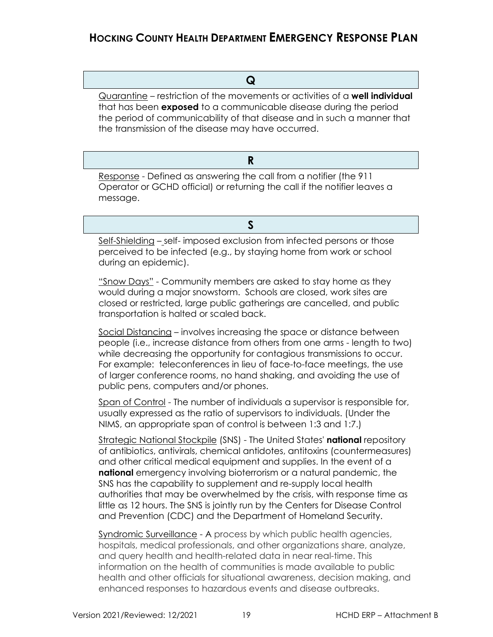### **Q**

Quarantine – restriction of the movements or activities of a **well individual** that has been **exposed** to a communicable disease during the period the period of communicability of that disease and in such a manner that the transmission of the disease may have occurred.

### **R**

Response - Defined as answering the call from a notifier (the 911 Operator or GCHD official) or returning the call if the notifier leaves a message.

# **S**

Self-Shielding – self- imposed exclusion from infected persons or those perceived to be infected (e.g., by staying home from work or school during an epidemic).

"Snow Days" - Community members are asked to stay home as they would during a major snowstorm. Schools are closed, work sites are closed or restricted, large public gatherings are cancelled, and public transportation is halted or scaled back.

Social Distancing – involves increasing the space or distance between people (i.e., increase distance from others from one arms - length to two) while decreasing the opportunity for contagious transmissions to occur. For example: teleconferences in lieu of face-to-face meetings, the use of larger conference rooms, no hand shaking, and avoiding the use of public pens, computers and/or phones.

Span of Control - The number of individuals a supervisor is responsible for, usually expressed as the ratio of supervisors to individuals. (Under the NIMS, an appropriate span of control is between 1:3 and 1:7.)

Strategic National Stockpile (SNS) - The United States' **national** repository of antibiotics, antivirals, chemical antidotes, antitoxins (countermeasures) and other critical medical equipment and supplies. In the event of a **national** emergency involving bioterrorism or a natural pandemic, the SNS has the capability to supplement and re-supply local health authorities that may be overwhelmed by the crisis, with response time as little as 12 hours. The SNS is jointly run by the Centers for Disease Control and Prevention (CDC) and the Department of Homeland Security.

Syndromic Surveillance - A process by which public health agencies, hospitals, medical professionals, and other organizations share, analyze, and query health and health-related data in near real-time. This information on the health of communities is made available to public health and other officials for situational awareness, decision making, and enhanced responses to hazardous events and disease outbreaks.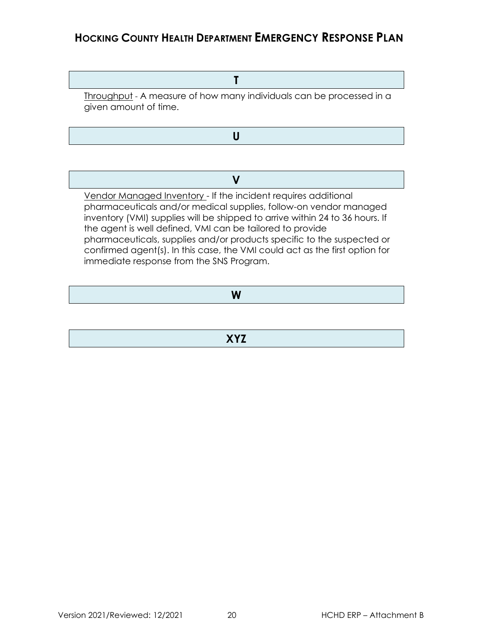| given amount of time. | Throughput - A measure of how many individuals can be processed in a |
|-----------------------|----------------------------------------------------------------------|

**U**

Vendor Managed Inventory - If the incident requires additional pharmaceuticals and/or medical supplies, follow-on vendor managed inventory (VMI) supplies will be shipped to arrive within 24 to 36 hours. If the agent is well defined, VMI can be tailored to provide pharmaceuticals, supplies and/or products specific to the suspected or confirmed agent(s). In this case, the VMI could act as the first option for immediate response from the SNS Program.

**W**

**XYZ**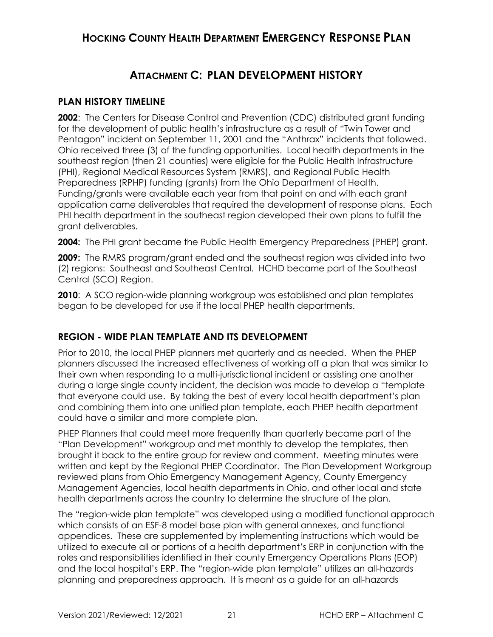# **ATTACHMENT C: PLAN DEVELOPMENT HISTORY**

### <span id="page-62-0"></span>**PLAN HISTORY TIMELINE**

**2002**: The Centers for Disease Control and Prevention (CDC) distributed grant funding for the development of public health's infrastructure as a result of "Twin Tower and Pentagon" incident on September 11, 2001 and the "Anthrax" incidents that followed. Ohio received three (3) of the funding opportunities. Local health departments in the southeast region (then 21 counties) were eligible for the Public Health Infrastructure (PHI), Regional Medical Resources System (RMRS), and Regional Public Health Preparedness (RPHP) funding (grants) from the Ohio Department of Health. Funding/grants were available each year from that point on and with each grant application came deliverables that required the development of response plans. Each PHI health department in the southeast region developed their own plans to fulfill the grant deliverables.

**2004:** The PHI grant became the Public Health Emergency Preparedness (PHEP) grant.

**2009:** The RMRS program/grant ended and the southeast region was divided into two (2) regions: Southeast and Southeast Central. HCHD became part of the Southeast Central (SCO) Region.

**2010**: A SCO region-wide planning workgroup was established and plan templates began to be developed for use if the local PHEP health departments.

### **REGION - WIDE PLAN TEMPLATE AND ITS DEVELOPMENT**

Prior to 2010, the local PHEP planners met quarterly and as needed. When the PHEP planners discussed the increased effectiveness of working off a plan that was similar to their own when responding to a multi-jurisdictional incident or assisting one another during a large single county incident, the decision was made to develop a "template that everyone could use. By taking the best of every local health department's plan and combining them into one unified plan template, each PHEP health department could have a similar and more complete plan.

PHEP Planners that could meet more frequently than quarterly became part of the "Plan Development" workgroup and met monthly to develop the templates, then brought it back to the entire group for review and comment. Meeting minutes were written and kept by the Regional PHEP Coordinator. The Plan Development Workgroup reviewed plans from Ohio Emergency Management Agency, County Emergency Management Agencies, local health departments in Ohio, and other local and state health departments across the country to determine the structure of the plan.

The "region-wide plan template" was developed using a modified functional approach which consists of an ESF-8 model base plan with general annexes, and functional appendices. These are supplemented by implementing instructions which would be utilized to execute all or portions of a health department's ERP in conjunction with the roles and responsibilities identified in their county Emergency Operations Plans (EOP) and the local hospital's ERP. The "region-wide plan template" utilizes an all-hazards planning and preparedness approach. It is meant as a guide for an all-hazards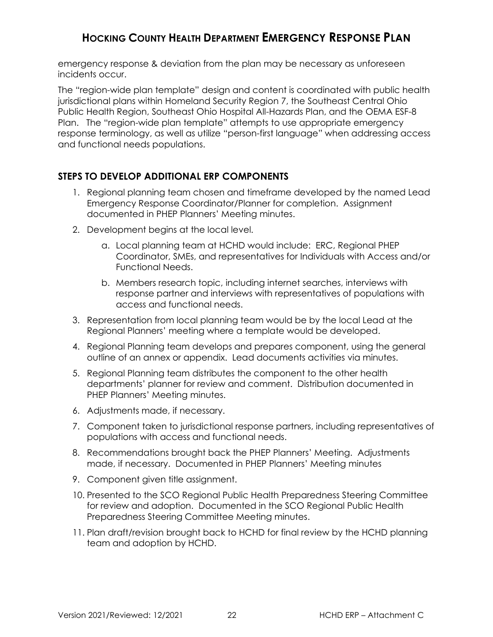emergency response & deviation from the plan may be necessary as unforeseen incidents occur.

The "region-wide plan template" design and content is coordinated with public health jurisdictional plans within Homeland Security Region 7, the Southeast Central Ohio Public Health Region, Southeast Ohio Hospital All-Hazards Plan, and the OEMA ESF-8 Plan. The "region-wide plan template" attempts to use appropriate emergency response terminology, as well as utilize "person-first language" when addressing access and functional needs populations.

### **STEPS TO DEVELOP ADDITIONAL ERP COMPONENTS**

- 1. Regional planning team chosen and timeframe developed by the named Lead Emergency Response Coordinator/Planner for completion. Assignment documented in PHEP Planners' Meeting minutes.
- 2. Development begins at the local level.
	- a. Local planning team at HCHD would include: ERC, Regional PHEP Coordinator, SMEs, and representatives for Individuals with Access and/or Functional Needs.
	- b. Members research topic, including internet searches, interviews with response partner and interviews with representatives of populations with access and functional needs.
- 3. Representation from local planning team would be by the local Lead at the Regional Planners' meeting where a template would be developed.
- 4. Regional Planning team develops and prepares component, using the general outline of an annex or appendix. Lead documents activities via minutes.
- 5. Regional Planning team distributes the component to the other health departments' planner for review and comment. Distribution documented in PHEP Planners' Meeting minutes.
- 6. Adjustments made, if necessary.
- 7. Component taken to jurisdictional response partners, including representatives of populations with access and functional needs.
- 8. Recommendations brought back the PHEP Planners' Meeting. Adjustments made, if necessary. Documented in PHEP Planners' Meeting minutes
- 9. Component given title assignment.
- 10. Presented to the SCO Regional Public Health Preparedness Steering Committee for review and adoption. Documented in the SCO Regional Public Health Preparedness Steering Committee Meeting minutes.
- 11. Plan draft/revision brought back to HCHD for final review by the HCHD planning team and adoption by HCHD.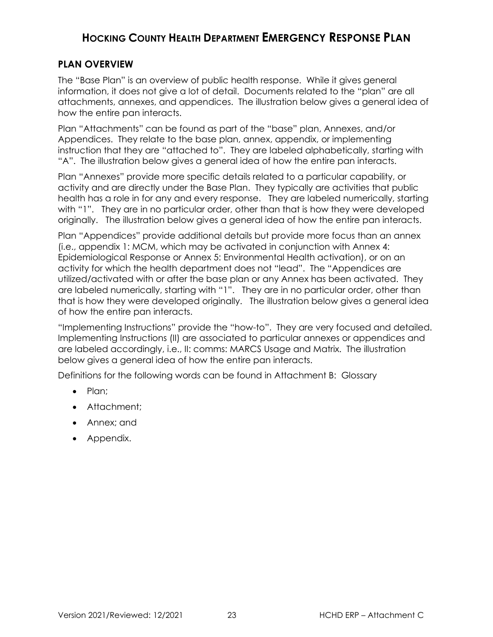### **PLAN OVERVIEW**

The "Base Plan" is an overview of public health response. While it gives general information, it does not give a lot of detail. Documents related to the "plan" are all attachments, annexes, and appendices. The illustration below gives a general idea of how the entire pan interacts.

Plan "Attachments" can be found as part of the "base" plan, Annexes, and/or Appendices. They relate to the base plan, annex, appendix, or implementing instruction that they are "attached to". They are labeled alphabetically, starting with "A". The illustration below gives a general idea of how the entire pan interacts.

Plan "Annexes" provide more specific details related to a particular capability, or activity and are directly under the Base Plan. They typically are activities that public health has a role in for any and every response. They are labeled numerically, starting with "1". They are in no particular order, other than that is how they were developed originally. The illustration below gives a general idea of how the entire pan interacts.

Plan "Appendices" provide additional details but provide more focus than an annex (i.e., appendix 1: MCM, which may be activated in conjunction with Annex 4: Epidemiological Response or Annex 5: Environmental Health activation), or on an activity for which the health department does not "lead". The "Appendices are utilized/activated with or after the base plan or any Annex has been activated. They are labeled numerically, starting with "1". They are in no particular order, other than that is how they were developed originally. The illustration below gives a general idea of how the entire pan interacts.

"Implementing Instructions" provide the "how-to". They are very focused and detailed. Implementing Instructions (II) are associated to particular annexes or appendices and are labeled accordingly, i.e., II: comms: MARCS Usage and Matrix. The illustration below gives a general idea of how the entire pan interacts.

Definitions for the following words can be found in Attachment B: Glossary

- Plan;
- Attachment;
- Annex; and
- Appendix.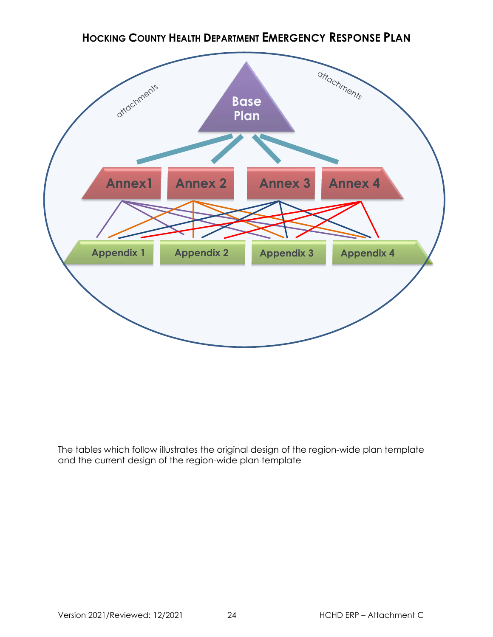

The tables which follow illustrates the original design of the region-wide plan template and the current design of the region-wide plan template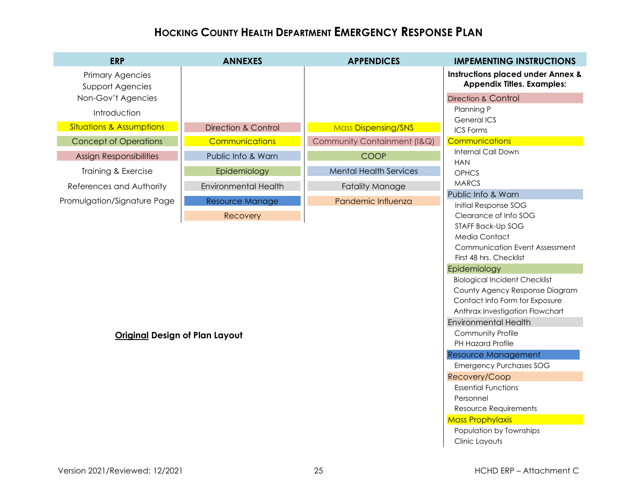| <b>ERP</b>                                         | <b>ANNEXES</b>                 | <b>APPENDICES</b>             | <b>IMPEMENTING INSTRUCTIONS</b>                                                                                                                                                                                                                                                                                                                                                                                                                   |
|----------------------------------------------------|--------------------------------|-------------------------------|---------------------------------------------------------------------------------------------------------------------------------------------------------------------------------------------------------------------------------------------------------------------------------------------------------------------------------------------------------------------------------------------------------------------------------------------------|
| <b>Primary Agencies</b><br><b>Support Agencies</b> |                                |                               | <b>Instructions placed under Annex &amp;</b><br><b>Appendix Titles. Examples:</b>                                                                                                                                                                                                                                                                                                                                                                 |
| Non-Gov't Agencies                                 |                                |                               | <b>Direction &amp; Control</b>                                                                                                                                                                                                                                                                                                                                                                                                                    |
| Introduction                                       |                                |                               | Planning P<br><b>General ICS</b>                                                                                                                                                                                                                                                                                                                                                                                                                  |
| <b>Situations &amp; Assumptions</b>                | <b>Direction &amp; Control</b> | <b>Mass Dispensing/SNS</b>    | <b>ICS Forms</b>                                                                                                                                                                                                                                                                                                                                                                                                                                  |
| <b>Concept of Operations</b>                       | <b>Communications</b>          | Community Containment (I&Q)   | Communications                                                                                                                                                                                                                                                                                                                                                                                                                                    |
| Assign Responsibilities                            | Public Info & Warn             | <b>COOP</b>                   | <b>Internal Call Down</b><br><b>HAN</b>                                                                                                                                                                                                                                                                                                                                                                                                           |
| Training & Exercise                                | Epidemiology                   | <b>Mental Health Services</b> | <b>OPHCS</b>                                                                                                                                                                                                                                                                                                                                                                                                                                      |
| References and Authority                           | <b>Environmental Health</b>    | <b>Fatality Manage</b>        | <b>MARCS</b>                                                                                                                                                                                                                                                                                                                                                                                                                                      |
| Promulgation/Signature Page                        | <b>Resource Manage</b>         | Pandemic Influenza            | Public Info & Warn                                                                                                                                                                                                                                                                                                                                                                                                                                |
|                                                    | Recovery                       |                               | Initial Response SOG<br>Clearance of Info SOG<br>STAFF Back-Up SOG<br>Media Contact<br><b>Communication Event Assessment</b><br>First 48 hrs. Checklist<br>Epidemiology                                                                                                                                                                                                                                                                           |
| <b>Original Design of Plan Layout</b>              |                                |                               | <b>Biological Incident Checklist</b><br>County Agency Response Diagram<br>Contact Info Form for Exposure<br>Anthrax Investigation Flowchart<br><b>Environmental Health</b><br>Community Profile<br>PH Hazard Profile<br><b>Resource Management</b><br><b>Emergency Purchases SOG</b><br>Recovery/Coop<br><b>Essential Functions</b><br>Personnel<br>Resource Requirements<br><b>Mass Prophylaxis</b><br>Population by Townships<br>Clinic Layouts |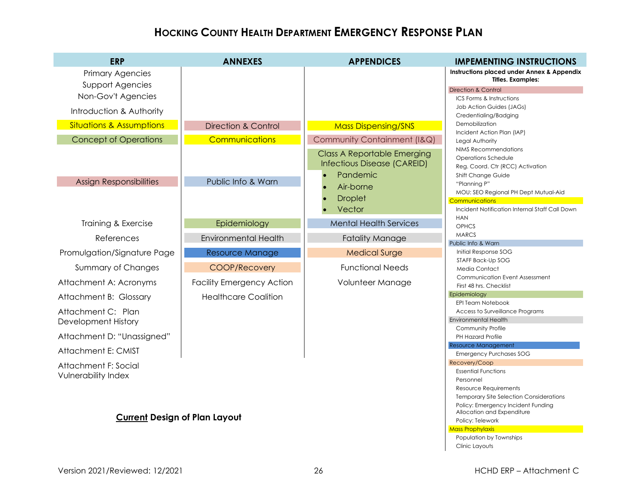| <b>ERP</b>                                         | <b>ANNEXES</b>                   | <b>APPENDICES</b>                                                                                                      | <b>IMPEMENTING INSTRUCTIONS</b>                                                                                                                                                                                                          |  |
|----------------------------------------------------|----------------------------------|------------------------------------------------------------------------------------------------------------------------|------------------------------------------------------------------------------------------------------------------------------------------------------------------------------------------------------------------------------------------|--|
| <b>Primary Agencies</b><br><b>Support Agencies</b> |                                  |                                                                                                                        | Instructions placed under Annex & Appendix<br><b>Titles. Examples:</b><br><b>Direction &amp; Control</b>                                                                                                                                 |  |
| Non-Gov't Agencies                                 |                                  |                                                                                                                        | ICS Forms & Instructions                                                                                                                                                                                                                 |  |
| Introduction & Authority                           |                                  |                                                                                                                        | Job Action Guides (JAGs)<br>Credentialing/Badging                                                                                                                                                                                        |  |
| <b>Situations &amp; Assumptions</b>                | <b>Direction &amp; Control</b>   | <b>Mass Dispensing/SNS</b>                                                                                             | Demobilization                                                                                                                                                                                                                           |  |
| <b>Concept of Operations</b>                       | <b>Communications</b>            | Community Containment (I&Q)                                                                                            | Incident Action Plan (IAP)<br>Legal Authority                                                                                                                                                                                            |  |
| <b>Assign Responsibilities</b>                     | Public Info & Warn               | <b>Class A Reportable Emerging</b><br>Infectious Disease (CAREID)<br>Pandemic<br>Air-borne<br><b>Droplet</b><br>Vector | <b>NIMS Recommendations</b><br>Operations Schedule<br>Reg. Coord. Ctr (RCC) Activation<br>Shift Change Guide<br>"Planning P"<br>MOU: SEO Regional PH Dept Mutual-Aid<br>Communications<br>Incident Notification Internal Staff Call Down |  |
| Training & Exercise                                | Epidemiology                     | <b>Mental Health Services</b>                                                                                          | <b>HAN</b><br><b>OPHCS</b>                                                                                                                                                                                                               |  |
| References                                         | <b>Environmental Health</b>      | <b>Fatality Manage</b>                                                                                                 | <b>MARCS</b>                                                                                                                                                                                                                             |  |
| Promulgation/Signature Page                        | <b>Resource Manage</b>           | <b>Medical Surge</b>                                                                                                   | Public Info & Warn<br>Initial Response SOG                                                                                                                                                                                               |  |
| Summary of Changes                                 | <b>COOP/Recovery</b>             | <b>Functional Needs</b>                                                                                                | STAFF Back-Up SOG<br>Media Contact                                                                                                                                                                                                       |  |
| Attachment A: Acronyms                             | <b>Facility Emergency Action</b> | Volunteer Manage                                                                                                       | <b>Communication Event Assessment</b><br>First 48 hrs. Checklist                                                                                                                                                                         |  |
| Attachment B: Glossary                             | <b>Healthcare Coalition</b>      |                                                                                                                        | Epidemiology                                                                                                                                                                                                                             |  |
| Attachment C: Plan                                 |                                  |                                                                                                                        | EPI Team Notebook<br>Access to Surveillance Programs                                                                                                                                                                                     |  |
| <b>Development History</b>                         |                                  |                                                                                                                        | <b>Environmental Health</b>                                                                                                                                                                                                              |  |
| Attachment D: "Unassigned"                         |                                  |                                                                                                                        | Community Profile<br><b>PH Hazard Profile</b>                                                                                                                                                                                            |  |
|                                                    |                                  |                                                                                                                        | <b>Resource Management</b>                                                                                                                                                                                                               |  |
| Attachment E: CMIST                                |                                  |                                                                                                                        | <b>Emergency Purchases SOG</b>                                                                                                                                                                                                           |  |
| Attachment F: Social                               |                                  |                                                                                                                        | Recovery/Coop<br><b>Essential Functions</b>                                                                                                                                                                                              |  |
| <b>Vulnerability Index</b>                         |                                  |                                                                                                                        | Personnel                                                                                                                                                                                                                                |  |
|                                                    |                                  |                                                                                                                        | Resource Requirements<br><b>Temporary Site Selection Considerations</b>                                                                                                                                                                  |  |
|                                                    |                                  |                                                                                                                        | Policy: Emergency Incident Funding                                                                                                                                                                                                       |  |
| <b>Current Design of Plan Layout</b>               |                                  |                                                                                                                        | Allocation and Expenditure<br>Policy: Telework                                                                                                                                                                                           |  |
|                                                    |                                  |                                                                                                                        | <b>Mass Prophylaxis</b>                                                                                                                                                                                                                  |  |
|                                                    |                                  |                                                                                                                        | Population by Townships                                                                                                                                                                                                                  |  |
|                                                    |                                  |                                                                                                                        | Clinic Layouts                                                                                                                                                                                                                           |  |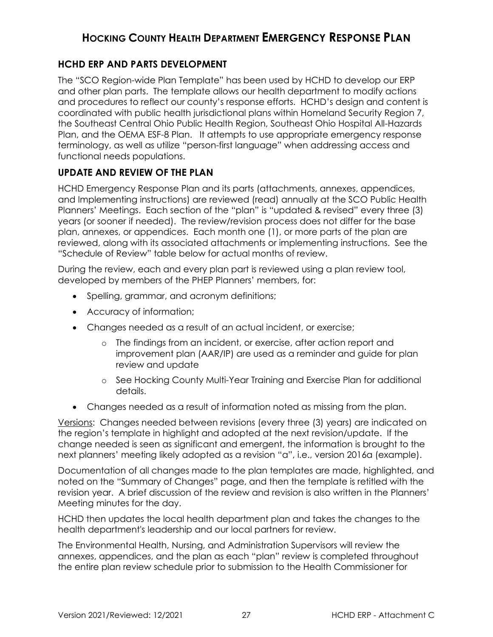### **HCHD ERP AND PARTS DEVELOPMENT**

The "SCO Region-wide Plan Template" has been used by HCHD to develop our ERP and other plan parts. The template allows our health department to modify actions and procedures to reflect our county's response efforts. HCHD's design and content is coordinated with public health jurisdictional plans within Homeland Security Region 7, the Southeast Central Ohio Public Health Region, Southeast Ohio Hospital All-Hazards Plan, and the OEMA ESF-8 Plan. It attempts to use appropriate emergency response terminology, as well as utilize "person-first language" when addressing access and functional needs populations.

### **UPDATE AND REVIEW OF THE PLAN**

HCHD Emergency Response Plan and its parts (attachments, annexes, appendices, and Implementing instructions) are reviewed (read) annually at the SCO Public Health Planners' Meetings. Each section of the "plan" is "updated & revised" every three (3) years (or sooner if needed). The review/revision process does not differ for the base plan, annexes, or appendices. Each month one (1), or more parts of the plan are reviewed, along with its associated attachments or implementing instructions. See the "Schedule of Review" table below for actual months of review.

During the review, each and every plan part is reviewed using a plan review tool, developed by members of the PHEP Planners' members, for:

- Spelling, grammar, and acronym definitions;
- Accuracy of information;
- Changes needed as a result of an actual incident, or exercise;
	- o The findings from an incident, or exercise, after action report and improvement plan (AAR/IP) are used as a reminder and guide for plan review and update
	- o See Hocking County Multi-Year Training and Exercise Plan for additional details.
- Changes needed as a result of information noted as missing from the plan.

Versions: Changes needed between revisions (every three (3) years) are indicated on the region's template in highlight and adopted at the next revision/update. If the change needed is seen as significant and emergent, the information is brought to the next planners' meeting likely adopted as a revision "a", i.e., version 2016a (example).

Documentation of all changes made to the plan templates are made, highlighted, and noted on the "Summary of Changes" page, and then the template is retitled with the revision year. A brief discussion of the review and revision is also written in the Planners' Meeting minutes for the day.

HCHD then updates the local health department plan and takes the changes to the health department's leadership and our local partners for review.

The Environmental Health, Nursing, and Administration Supervisors will review the annexes, appendices, and the plan as each "plan" review is completed throughout the entire plan review schedule prior to submission to the Health Commissioner for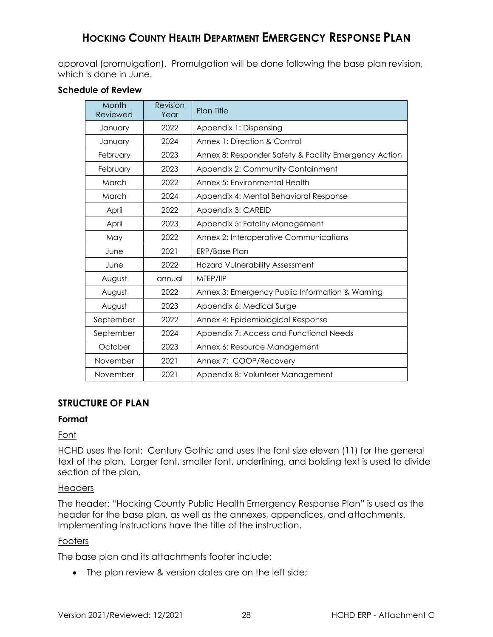approval (promulgation). Promulgation will be done following the base plan revision, which is done in June.

#### **Schedule of Review**

| Month<br>Reviewed | Revision<br>Year | <b>Plan Title</b>                                     |
|-------------------|------------------|-------------------------------------------------------|
| January           | 2022             | Appendix 1: Dispensing                                |
| January           | 2024             | Annex 1: Direction & Control                          |
| February          | 2023             | Annex 8: Responder Safety & Facility Emergency Action |
| February          | 2023             | Appendix 2: Community Containment                     |
| March             | 2022             | Annex 5: Environmental Health                         |
| March             | 2024             | Appendix 4: Mental Behavioral Response                |
| April             | 2022             | Appendix 3: CAREID                                    |
| April             | 2023             | Appendix 5: Fatality Management                       |
| May               | 2022             | Annex 2: Interoperative Communications                |
| June              | 2021             | <b>ERP/Base Plan</b>                                  |
| June              | 2022             | <b>Hazard Vulnerability Assessment</b>                |
| August            | annual           | MTEP/IIP                                              |
| August            | 2022             | Annex 3: Emergency Public Information & Warning       |
| August            | 2023             | Appendix 6: Medical Surge                             |
| September         | 2022             | Annex 4: Epidemiological Response                     |
| September         | 2024             | Appendix 7: Access and Functional Needs               |
| October           | 2023             | Annex 6: Resource Management                          |
| November          | 2021             | Annex 7: COOP/Recovery                                |
| November          | 2021             | Appendix 8: Volunteer Management                      |

### **STRUCTURE OF PLAN**

#### **Format**

Font

HCHD uses the font: Century Gothic and uses the font size eleven (11) for the general text of the plan. Larger font, smaller font, underlining, and bolding text is used to divide section of the plan,

#### **Headers**

The header: "Hocking County Public Health Emergency Response Plan" is used as the header for the base plan, as well as the annexes, appendices, and attachments. Implementing instructions have the title of the instruction.

### Footers

The base plan and its attachments footer include:

• The plan review & version dates are on the left side;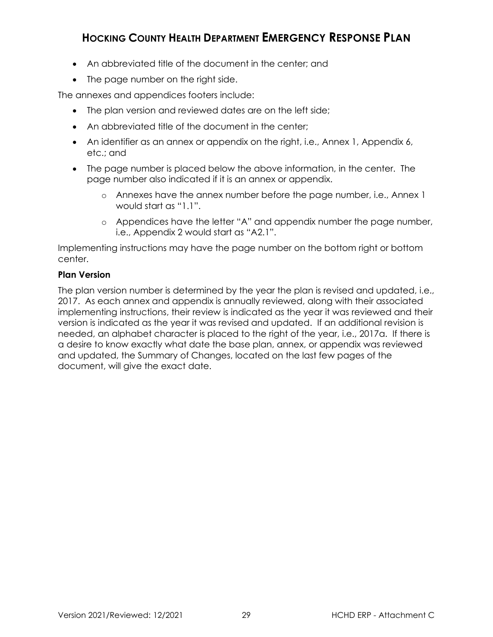- An abbreviated title of the document in the center; and
- The page number on the right side.

The annexes and appendices footers include:

- The plan version and reviewed dates are on the left side;
- An abbreviated title of the document in the center;
- An identifier as an annex or appendix on the right, i.e., Annex 1, Appendix 6, etc.; and
- The page number is placed below the above information, in the center. The page number also indicated if it is an annex or appendix.
	- o Annexes have the annex number before the page number, i.e., Annex 1 would start as "1.1".
	- o Appendices have the letter "A" and appendix number the page number, i.e., Appendix 2 would start as "A2.1".

Implementing instructions may have the page number on the bottom right or bottom center.

### **Plan Version**

The plan version number is determined by the year the plan is revised and updated, i.e., 2017. As each annex and appendix is annually reviewed, along with their associated implementing instructions, their review is indicated as the year it was reviewed and their version is indicated as the year it was revised and updated. If an additional revision is needed, an alphabet character is placed to the right of the year, i.e., 2017a. If there is a desire to know exactly what date the base plan, annex, or appendix was reviewed and updated, the Summary of Changes, located on the last few pages of the document, will give the exact date.